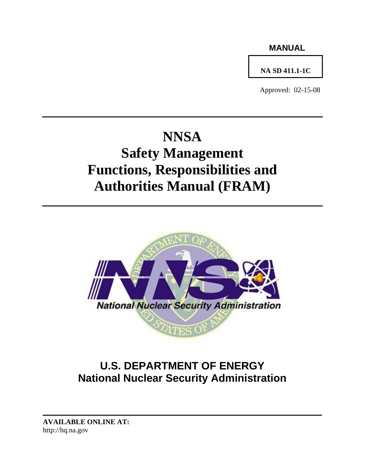### **MANUAL**

## **NA SD 411.1-1C**

Approved: 02-15-08

# **NNSA Safety Management**

## **Functions, Responsibilities and Authorities Manual (FRAM)**



## **U.S. DEPARTMENT OF ENERGY National Nuclear Security Administration**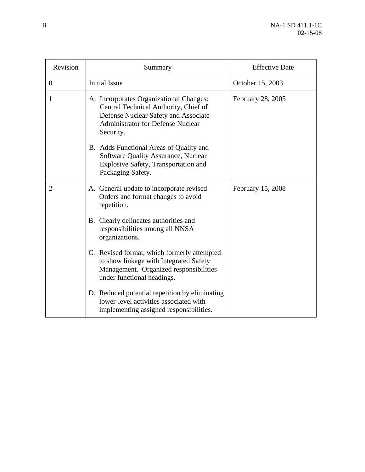| Revision       | Summary                                                                                                                                                                           | <b>Effective Date</b> |
|----------------|-----------------------------------------------------------------------------------------------------------------------------------------------------------------------------------|-----------------------|
| $\theta$       | <b>Initial Issue</b>                                                                                                                                                              | October 15, 2003      |
| 1              | A. Incorporates Organizational Changes:<br>Central Technical Authority, Chief of<br>Defense Nuclear Safety and Associate<br><b>Administrator for Defense Nuclear</b><br>Security. | February 28, 2005     |
|                | B. Adds Functional Areas of Quality and<br><b>Software Quality Assurance, Nuclear</b><br>Explosive Safety, Transportation and<br>Packaging Safety.                                |                       |
| $\overline{2}$ | A. General update to incorporate revised<br>Orders and format changes to avoid<br>repetition.                                                                                     | February 15, 2008     |
|                | B. Clearly delineates authorities and<br>responsibilities among all NNSA<br>organizations.                                                                                        |                       |
|                | C. Revised format, which formerly attempted<br>to show linkage with Integrated Safety<br>Management. Organized responsibilities<br>under functional headings.                     |                       |
|                | D. Reduced potential repetition by eliminating<br>lower-level activities associated with<br>implementing assigned responsibilities.                                               |                       |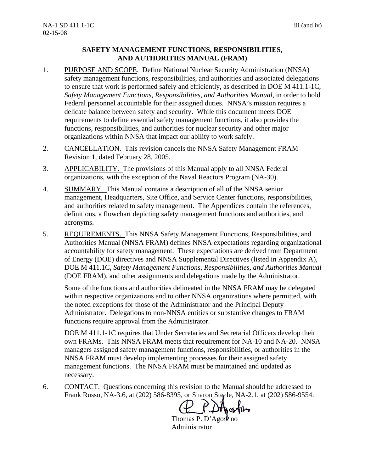#### **SAFETY MANAGEMENT FUNCTIONS, RESPONSIBILITIES, AND AUTHORITIES MANUAL (FRAM)**

- 1. PURPOSE AND SCOPE. Define National Nuclear Security Administration (NNSA) safety management functions, responsibilities, and authorities and associated delegations to ensure that work is performed safely and efficiently, as described in DOE M 411.1-1C, *Safety Management Functions, Responsibilities, and Authorities Manual,* in order to hold Federal personnel accountable for their assigned duties. NNSA's mission requires a delicate balance between safety and security. While this document meets DOE requirements to define essential safety management functions, it also provides the functions, responsibilities, and authorities for nuclear security and other major organizations within NNSA that impact our ability to work safely.
- 2. CANCELLATION. This revision cancels the NNSA Safety Management FRAM Revision 1, dated February 28, 2005.
- 3. APPLICABILITY. The provisions of this Manual apply to all NNSA Federal organizations, with the exception of the Naval Reactors Program (NA-30).
- 4. SUMMARY. This Manual contains a description of all of the NNSA senior management, Headquarters, Site Office, and Service Center functions, responsibilities, and authorities related to safety management. The Appendices contain the references, definitions, a flowchart depicting safety management functions and authorities, and acronyms.
- 5. REQUIREMENTS. This NNSA Safety Management Functions, Responsibilities, and Authorities Manual (NNSA FRAM) defines NNSA expectations regarding organizational accountability for safety management. These expectations are derived from Department of Energy (DOE) directives and NNSA Supplemental Directives (listed in Appendix A), DOE M 411.1C, *Safety Management Functions, Responsibilities, and Authorities Manual* (DOE FRAM), and other assignments and delegations made by the Administrator.

Some of the functions and authorities delineated in the NNSA FRAM may be delegated within respective organizations and to other NNSA organizations where permitted, with the noted exceptions for those of the Administrator and the Principal Deputy Administrator. Delegations to non-NNSA entities or substantive changes to FRAM functions require approval from the Administrator.

DOE M 411.1-1C requires that Under Secretaries and Secretarial Officers develop their own FRAMs. This NNSA FRAM meets that requirement for NA-10 and NA-20. NNSA managers assigned safety management functions, responsibilities, or authorities in the NNSA FRAM must develop implementing processes for their assigned safety management functions. The NNSA FRAM must be maintained and updated as necessary.

6. CONTACT. Questions concerning this revision to the Manual should be addressed to Frank Russo, NA-3.6, at (202) 586-8395, or Sharon Steele, NA-2.1, at (202) 586-9554.

Thomas P. D'Agostino Administrator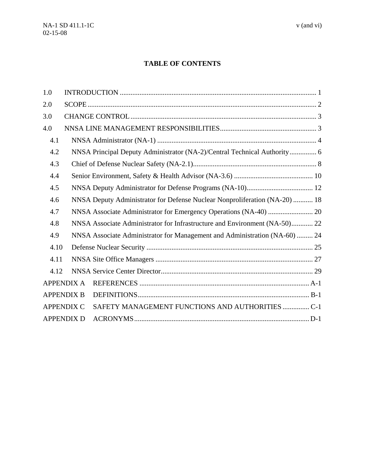#### **TABLE OF CONTENTS**

| 1.0  |                   |                                                                            |
|------|-------------------|----------------------------------------------------------------------------|
| 2.0  |                   |                                                                            |
| 3.0  |                   |                                                                            |
| 4.0  |                   |                                                                            |
| 4.1  |                   |                                                                            |
| 4.2  |                   | NNSA Principal Deputy Administrator (NA-2)/Central Technical Authority 6   |
| 4.3  |                   |                                                                            |
| 4.4  |                   |                                                                            |
| 4.5  |                   |                                                                            |
| 4.6  |                   | NNSA Deputy Administrator for Defense Nuclear Nonproliferation (NA-20)  18 |
| 4.7  |                   |                                                                            |
| 4.8  |                   | NNSA Associate Administrator for Infrastructure and Environment (NA-50) 22 |
| 4.9  |                   | NNSA Associate Administrator for Management and Administration (NA-60)  24 |
| 4.10 |                   |                                                                            |
| 4.11 |                   |                                                                            |
| 4.12 |                   |                                                                            |
|      | <b>APPENDIX A</b> |                                                                            |
|      | <b>APPENDIX B</b> |                                                                            |
|      | <b>APPENDIX C</b> | SAFETY MANAGEMENT FUNCTIONS AND AUTHORITIES  C-1                           |
|      | <b>APPENDIX D</b> |                                                                            |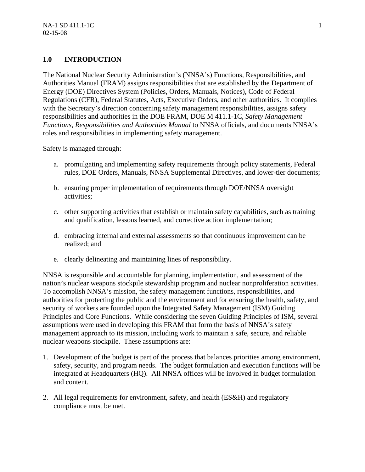#### **1.0 INTRODUCTION**

The National Nuclear Security Administration's (NNSA's) Functions, Responsibilities, and Authorities Manual (FRAM) assigns responsibilities that are established by the Department of Energy (DOE) Directives System (Policies, Orders, Manuals, Notices), Code of Federal Regulations (CFR), Federal Statutes, Acts, Executive Orders, and other authorities. It complies with the Secretary's direction concerning safety management responsibilities, assigns safety responsibilities and authorities in the DOE FRAM, DOE M 411.1-1C, *Safety Management Functions, Responsibilities and Authorities Manual* to NNSA officials, and documents NNSA's roles and responsibilities in implementing safety management.

Safety is managed through:

- a. promulgating and implementing safety requirements through policy statements, Federal rules, DOE Orders, Manuals, NNSA Supplemental Directives, and lower-tier documents;
- b. ensuring proper implementation of requirements through DOE/NNSA oversight activities;
- c. other supporting activities that establish or maintain safety capabilities, such as training and qualification, lessons learned, and corrective action implementation;
- d. embracing internal and external assessments so that continuous improvement can be realized; and
- e. clearly delineating and maintaining lines of responsibility.

NNSA is responsible and accountable for planning, implementation, and assessment of the nation's nuclear weapons stockpile stewardship program and nuclear nonproliferation activities. To accomplish NNSA's mission, the safety management functions, responsibilities, and authorities for protecting the public and the environment and for ensuring the health, safety, and security of workers are founded upon the Integrated Safety Management (ISM) Guiding Principles and Core Functions. While considering the seven Guiding Principles of ISM, several assumptions were used in developing this FRAM that form the basis of NNSA's safety management approach to its mission, including work to maintain a safe, secure, and reliable nuclear weapons stockpile. These assumptions are:

- 1. Development of the budget is part of the process that balances priorities among environment, safety, security, and program needs. The budget formulation and execution functions will be integrated at Headquarters (HQ). All NNSA offices will be involved in budget formulation and content.
- 2. All legal requirements for environment, safety, and health (ES&H) and regulatory compliance must be met.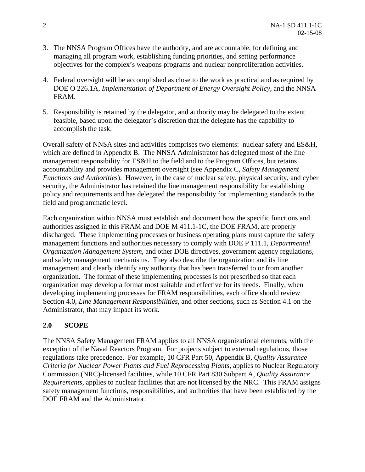- 3. The NNSA Program Offices have the authority, and are accountable, for defining and managing all program work, establishing funding priorities, and setting performance objectives for the complex's weapons programs and nuclear nonproliferation activities.
- 4. Federal oversight will be accomplished as close to the work as practical and as required by DOE O 226.1A, *Implementation of Department of Energy Oversight Policy*, and the NNSA FRAM.
- 5. Responsibility is retained by the delegator, and authority may be delegated to the extent feasible, based upon the delegator's discretion that the delegate has the capability to accomplish the task.

Overall safety of NNSA sites and activities comprises two elements: nuclear safety and ES&H, which are defined in Appendix B. The NNSA Administrator has delegated most of the line management responsibility for ES&H to the field and to the Program Offices, but retains accountability and provides management oversight (see Appendix C, *Safety Management Functions and Authorities*). However, in the case of nuclear safety, physical security, and cyber security, the Administrator has retained the line management responsibility for establishing policy and requirements and has delegated the responsibility for implementing standards to the field and programmatic level.

Each organization within NNSA must establish and document how the specific functions and authorities assigned in this FRAM and DOE M 411.1-1C, the DOE FRAM, are properly discharged. These implementing processes or business operating plans must capture the safety management functions and authorities necessary to comply with DOE P 111.1, *Departmental Organization Management System,* and other DOE directives, government agency regulations, and safety management mechanisms. They also describe the organization and its line management and clearly identify any authority that has been transferred to or from another organization. The format of these implementing processes is not prescribed so that each organization may develop a format most suitable and effective for its needs. Finally, when developing implementing processes for FRAM responsibilities, each office should review Section 4.0, *Line Management Responsibilities,* and other sections, such as Section 4.1 on the Administrator, that may impact its work.

#### **2.0 SCOPE**

The NNSA Safety Management FRAM applies to all NNSA organizational elements, with the exception of the Naval Reactors Program. For projects subject to external regulations, those regulations take precedence. For example, 10 CFR Part 50, Appendix B, *Quality Assurance Criteria for Nuclear Power Plants and Fuel Reprocessing Plants,* applies to Nuclear Regulatory Commission (NRC)-licensed facilities, while 10 CFR Part 830 Subpart A, *Quality Assurance Requirements,* applies to nuclear facilities that are not licensed by the NRC. This FRAM assigns safety management functions, responsibilities, and authorities that have been established by the DOE FRAM and the Administrator.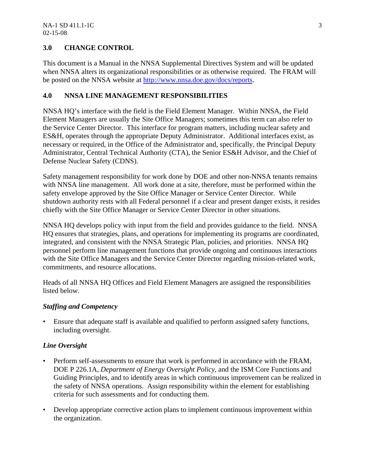#### **3.0 CHANGE CONTROL**

This document is a Manual in the NNSA Supplemental Directives System and will be updated when NNSA alters its organizational responsibilities or as otherwise required. The FRAM will be posted on the NNSA website at http://www.nnsa.doe.gov/docs/reports.

#### **4.0 NNSA LINE MANAGEMENT RESPONSIBILITIES**

NNSA HQ's interface with the field is the Field Element Manager. Within NNSA, the Field Element Managers are usually the Site Office Managers; sometimes this term can also refer to the Service Center Director. This interface for program matters, including nuclear safety and ES&H, operates through the appropriate Deputy Administrator. Additional interfaces exist, as necessary or required, in the Office of the Administrator and, specifically, the Principal Deputy Administrator, Central Technical Authority (CTA), the Senior ES&H Advisor, and the Chief of Defense Nuclear Safety (CDNS).

Safety management responsibility for work done by DOE and other non-NNSA tenants remains with NNSA line management. All work done at a site, therefore, must be performed within the safety envelope approved by the Site Office Manager or Service Center Director. While shutdown authority rests with all Federal personnel if a clear and present danger exists, it resides chiefly with the Site Office Manager or Service Center Director in other situations.

NNSA HQ develops policy with input from the field and provides guidance to the field. NNSA HQ ensures that strategies, plans, and operations for implementing its programs are coordinated, integrated, and consistent with the NNSA Strategic Plan, policies, and priorities. NNSA HQ personnel perform line management functions that provide ongoing and continuous interactions with the Site Office Managers and the Service Center Director regarding mission-related work, commitments, and resource allocations.

Heads of all NNSA HQ Offices and Field Element Managers are assigned the responsibilities listed below.

#### *Staffing and Competency*

• Ensure that adequate staff is available and qualified to perform assigned safety functions, including oversight.

#### *Line Oversight*

- Perform self-assessments to ensure that work is performed in accordance with the FRAM, DOE P 226.1A, *Department of Energy Oversight Policy,* and the ISM Core Functions and Guiding Principles, and to identify areas in which continuous improvement can be realized in the safety of NNSA operations. Assign responsibility within the element for establishing criteria for such assessments and for conducting them.
- Develop appropriate corrective action plans to implement continuous improvement within the organization.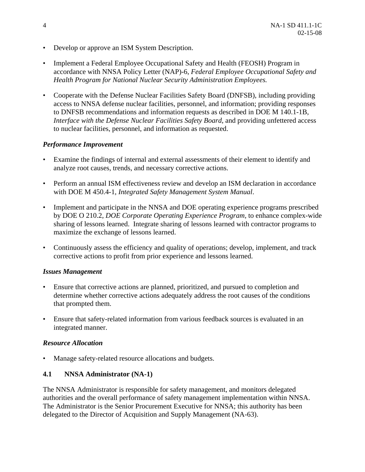- Develop or approve an ISM System Description.
- Implement a Federal Employee Occupational Safety and Health (FEOSH) Program in accordance with NNSA Policy Letter (NAP)-6, *Federal Employee Occupational Safety and Health Program for National Nuclear Security Administration Employees.*
- Cooperate with the Defense Nuclear Facilities Safety Board (DNFSB), including providing access to NNSA defense nuclear facilities, personnel, and information; providing responses to DNFSB recommendations and information requests as described in DOE M 140.1-1B, *Interface with the Defense Nuclear Facilities Safety Board*, and providing unfettered access to nuclear facilities, personnel, and information as requested.

#### *Performance Improvement*

- Examine the findings of internal and external assessments of their element to identify and analyze root causes, trends, and necessary corrective actions.
- Perform an annual ISM effectiveness review and develop an ISM declaration in accordance with DOE M 450.4-1, *Integrated Safety Management System Manual*.
- Implement and participate in the NNSA and DOE operating experience programs prescribed by DOE O 210.2, *DOE Corporate Operating Experience Program,* to enhance complex-wide sharing of lessons learned. Integrate sharing of lessons learned with contractor programs to maximize the exchange of lessons learned.
- Continuously assess the efficiency and quality of operations; develop, implement, and track corrective actions to profit from prior experience and lessons learned.

#### *Issues Management*

- Ensure that corrective actions are planned, prioritized, and pursued to completion and determine whether corrective actions adequately address the root causes of the conditions that prompted them.
- Ensure that safety-related information from various feedback sources is evaluated in an integrated manner.

#### *Resource Allocation*

Manage safety-related resource allocations and budgets.

#### **4.1 NNSA Administrator (NA-1)**

The NNSA Administrator is responsible for safety management, and monitors delegated authorities and the overall performance of safety management implementation within NNSA. The Administrator is the Senior Procurement Executive for NNSA; this authority has been delegated to the Director of Acquisition and Supply Management (NA-63).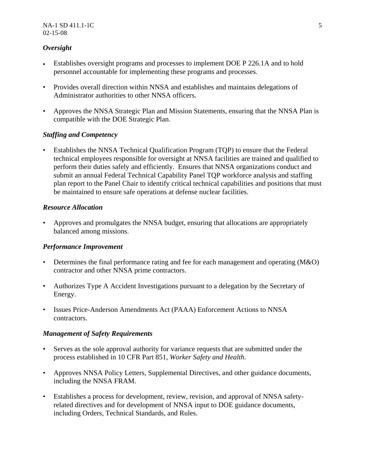#### *Oversight*

- Establishes oversight programs and processes to implement DOE P 226.1A and to hold personnel accountable for implementing these programs and processes.
- Provides overall direction within NNSA and establishes and maintains delegations of Administrator authorities to other NNSA officers.
- Approves the NNSA Strategic Plan and Mission Statements, ensuring that the NNSA Plan is compatible with the DOE Strategic Plan.

#### *Staffing and Competency*

• Establishes the NNSA Technical Qualification Program (TQP) to ensure that the Federal technical employees responsible for oversight at NNSA facilities are trained and qualified to perform their duties safely and efficiently. Ensures that NNSA organizations conduct and submit an annual Federal Technical Capability Panel TQP workforce analysis and staffing plan report to the Panel Chair to identify critical technical capabilities and positions that must be maintained to ensure safe operations at defense nuclear facilities.

#### *Resource Allocation*

• Approves and promulgates the NNSA budget, ensuring that allocations are appropriately balanced among missions.

#### *Performance Improvement*

- Determines the final performance rating and fee for each management and operating (M&O) contractor and other NNSA prime contractors.
- Authorizes Type A Accident Investigations pursuant to a delegation by the Secretary of Energy.
- Issues Price-Anderson Amendments Act (PAAA) Enforcement Actions to NNSA contractors.

#### *Management of Safety Requirements*

- Serves as the sole approval authority for variance requests that are submitted under the process established in 10 CFR Part 851, *Worker Safety and Health*.
- Approves NNSA Policy Letters, Supplemental Directives, and other guidance documents, including the NNSA FRAM.
- Establishes a process for development, review, revision, and approval of NNSA safetyrelated directives and for development of NNSA input to DOE guidance documents, including Orders, Technical Standards, and Rules.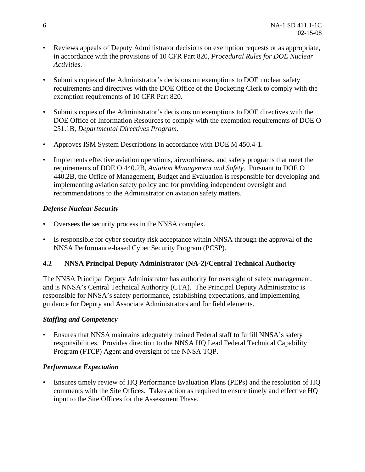- Reviews appeals of Deputy Administrator decisions on exemption requests or as appropriate, in accordance with the provisions of 10 CFR Part 820, *Procedural Rules for DOE Nuclear Activities*.
- Submits copies of the Administrator's decisions on exemptions to DOE nuclear safety requirements and directives with the DOE Office of the Docketing Clerk to comply with the exemption requirements of 10 CFR Part 820.
- Submits copies of the Administrator's decisions on exemptions to DOE directives with the DOE Office of Information Resources to comply with the exemption requirements of DOE O 251.1B, *Departmental Directives Program*.
- Approves ISM System Descriptions in accordance with DOE M 450.4-1.
- Implements effective aviation operations, airworthiness, and safety programs that meet the requirements of DOE O 440.2B, *Aviation Management and Safety*. Pursuant to DOE O 440.2B, the Office of Management, Budget and Evaluation is responsible for developing and implementing aviation safety policy and for providing independent oversight and recommendations to the Administrator on aviation safety matters.

#### *Defense Nuclear Security*

- Oversees the security process in the NNSA complex.
- Is responsible for cyber security risk acceptance within NNSA through the approval of the NNSA Performance-based Cyber Security Program (PCSP).

#### **4.2 NNSA Principal Deputy Administrator (NA-2)/Central Technical Authority**

The NNSA Principal Deputy Administrator has authority for oversight of safety management, and is NNSA's Central Technical Authority (CTA). The Principal Deputy Administrator is responsible for NNSA's safety performance, establishing expectations, and implementing guidance for Deputy and Associate Administrators and for field elements.

#### *Staffing and Competency*

• Ensures that NNSA maintains adequately trained Federal staff to fulfill NNSA's safety responsibilities. Provides direction to the NNSA HQ Lead Federal Technical Capability Program (FTCP) Agent and oversight of the NNSA TQP.

#### *Performance Expectation*

• Ensures timely review of HQ Performance Evaluation Plans (PEPs) and the resolution of HQ comments with the Site Offices. Takes action as required to ensure timely and effective HQ input to the Site Offices for the Assessment Phase.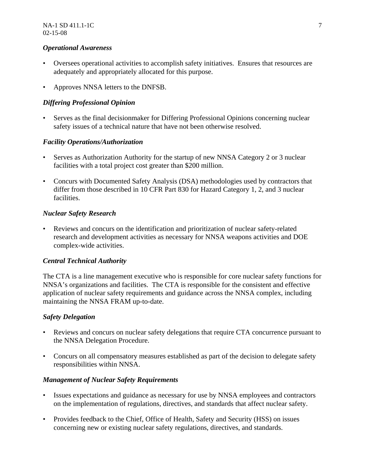#### *Operational Awareness*

- Oversees operational activities to accomplish safety initiatives. Ensures that resources are adequately and appropriately allocated for this purpose.
- Approves NNSA letters to the DNFSB.

#### *Differing Professional Opinion*

• Serves as the final decisionmaker for Differing Professional Opinions concerning nuclear safety issues of a technical nature that have not been otherwise resolved.

#### *Facility Operations/Authorization*

- Serves as Authorization Authority for the startup of new NNSA Category 2 or 3 nuclear facilities with a total project cost greater than \$200 million.
- Concurs with Documented Safety Analysis (DSA) methodologies used by contractors that differ from those described in 10 CFR Part 830 for Hazard Category 1, 2, and 3 nuclear facilities.

#### *Nuclear Safety Research*

• Reviews and concurs on the identification and prioritization of nuclear safety-related research and development activities as necessary for NNSA weapons activities and DOE complex-wide activities.

#### *Central Technical Authority*

The CTA is a line management executive who is responsible for core nuclear safety functions for NNSA's organizations and facilities. The CTA is responsible for the consistent and effective application of nuclear safety requirements and guidance across the NNSA complex, including maintaining the NNSA FRAM up-to-date.

#### *Safety Delegation*

- Reviews and concurs on nuclear safety delegations that require CTA concurrence pursuant to the NNSA Delegation Procedure.
- Concurs on all compensatory measures established as part of the decision to delegate safety responsibilities within NNSA.

#### *Management of Nuclear Safety Requirements*

- Issues expectations and guidance as necessary for use by NNSA employees and contractors on the implementation of regulations, directives, and standards that affect nuclear safety.
- Provides feedback to the Chief, Office of Health, Safety and Security (HSS) on issues concerning new or existing nuclear safety regulations, directives, and standards.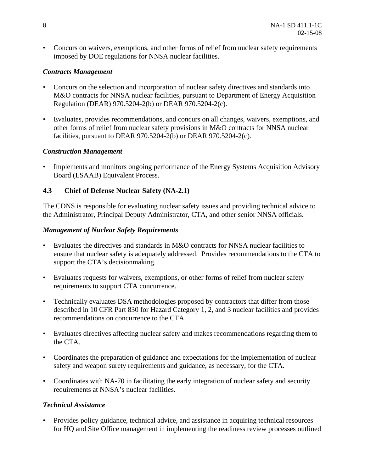• Concurs on waivers, exemptions, and other forms of relief from nuclear safety requirements imposed by DOE regulations for NNSA nuclear facilities.

#### *Contracts Management*

- Concurs on the selection and incorporation of nuclear safety directives and standards into M&O contracts for NNSA nuclear facilities, pursuant to Department of Energy Acquisition Regulation (DEAR) 970.5204-2(b) or DEAR 970.5204-2(c).
- Evaluates, provides recommendations, and concurs on all changes, waivers, exemptions, and other forms of relief from nuclear safety provisions in M&O contracts for NNSA nuclear facilities, pursuant to DEAR 970.5204-2(b) or DEAR 970.5204-2(c).

#### *Construction Management*

• Implements and monitors ongoing performance of the Energy Systems Acquisition Advisory Board (ESAAB) Equivalent Process.

#### **4.3 Chief of Defense Nuclear Safety (NA-2.1)**

The CDNS is responsible for evaluating nuclear safety issues and providing technical advice to the Administrator, Principal Deputy Administrator, CTA, and other senior NNSA officials.

#### *Management of Nuclear Safety Requirements*

- Evaluates the directives and standards in M&O contracts for NNSA nuclear facilities to ensure that nuclear safety is adequately addressed. Provides recommendations to the CTA to support the CTA's decisionmaking.
- Evaluates requests for waivers, exemptions, or other forms of relief from nuclear safety requirements to support CTA concurrence.
- Technically evaluates DSA methodologies proposed by contractors that differ from those described in 10 CFR Part 830 for Hazard Category 1, 2, and 3 nuclear facilities and provides recommendations on concurrence to the CTA.
- Evaluates directives affecting nuclear safety and makes recommendations regarding them to the CTA.
- Coordinates the preparation of guidance and expectations for the implementation of nuclear safety and weapon surety requirements and guidance, as necessary, for the CTA.
- Coordinates with NA-70 in facilitating the early integration of nuclear safety and security requirements at NNSA's nuclear facilities.

#### *Technical Assistance*

• Provides policy guidance, technical advice, and assistance in acquiring technical resources for HQ and Site Office management in implementing the readiness review processes outlined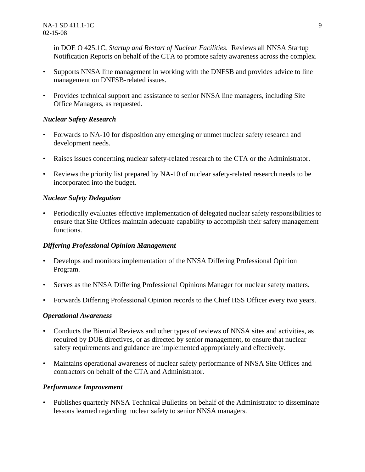in DOE O 425.1C, *Startup and Restart of Nuclear Facilities.* Reviews all NNSA Startup Notification Reports on behalf of the CTA to promote safety awareness across the complex.

- Supports NNSA line management in working with the DNFSB and provides advice to line management on DNFSB-related issues.
- Provides technical support and assistance to senior NNSA line managers, including Site Office Managers, as requested.

#### *Nuclear Safety Research*

- Forwards to NA-10 for disposition any emerging or unmet nuclear safety research and development needs.
- Raises issues concerning nuclear safety-related research to the CTA or the Administrator.
- Reviews the priority list prepared by NA-10 of nuclear safety-related research needs to be incorporated into the budget.

#### *Nuclear Safety Delegation*

• Periodically evaluates effective implementation of delegated nuclear safety responsibilities to ensure that Site Offices maintain adequate capability to accomplish their safety management functions.

#### *Differing Professional Opinion Management*

- Develops and monitors implementation of the NNSA Differing Professional Opinion Program.
- Serves as the NNSA Differing Professional Opinions Manager for nuclear safety matters.
- Forwards Differing Professional Opinion records to the Chief HSS Officer every two years.

#### *Operational Awareness*

- Conducts the Biennial Reviews and other types of reviews of NNSA sites and activities, as required by DOE directives, or as directed by senior management, to ensure that nuclear safety requirements and guidance are implemented appropriately and effectively.
- Maintains operational awareness of nuclear safety performance of NNSA Site Offices and contractors on behalf of the CTA and Administrator.

#### *Performance Improvement*

• Publishes quarterly NNSA Technical Bulletins on behalf of the Administrator to disseminate lessons learned regarding nuclear safety to senior NNSA managers.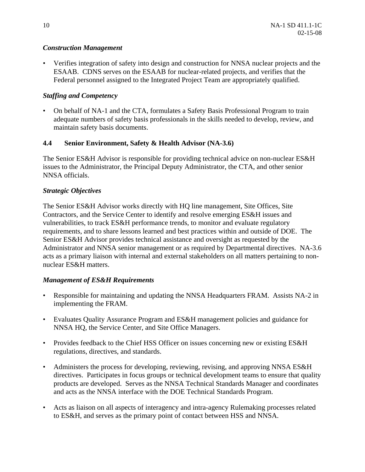#### *Construction Management*

• Verifies integration of safety into design and construction for NNSA nuclear projects and the ESAAB. CDNS serves on the ESAAB for nuclear-related projects, and verifies that the Federal personnel assigned to the Integrated Project Team are appropriately qualified.

#### *Staffing and Competency*

• On behalf of NA-1 and the CTA, formulates a Safety Basis Professional Program to train adequate numbers of safety basis professionals in the skills needed to develop, review, and maintain safety basis documents.

#### **4.4 Senior Environment, Safety & Health Advisor (NA-3.6)**

The Senior ES&H Advisor is responsible for providing technical advice on non-nuclear ES&H issues to the Administrator, the Principal Deputy Administrator, the CTA, and other senior NNSA officials.

#### *Strategic Objectives*

The Senior ES&H Advisor works directly with HQ line management, Site Offices, Site Contractors, and the Service Center to identify and resolve emerging ES&H issues and vulnerabilities, to track ES&H performance trends, to monitor and evaluate regulatory requirements, and to share lessons learned and best practices within and outside of DOE. The Senior ES&H Advisor provides technical assistance and oversight as requested by the Administrator and NNSA senior management or as required by Departmental directives. NA-3.6 acts as a primary liaison with internal and external stakeholders on all matters pertaining to nonnuclear ES&H matters.

#### *Management of ES&H Requirements*

- Responsible for maintaining and updating the NNSA Headquarters FRAM. Assists NA-2 in implementing the FRAM.
- Evaluates Quality Assurance Program and ES&H management policies and guidance for NNSA HQ, the Service Center, and Site Office Managers.
- Provides feedback to the Chief HSS Officer on issues concerning new or existing ES&H regulations, directives, and standards.
- Administers the process for developing, reviewing, revising, and approving NNSA ES&H directives. Participates in focus groups or technical development teams to ensure that quality products are developed. Serves as the NNSA Technical Standards Manager and coordinates and acts as the NNSA interface with the DOE Technical Standards Program.
- Acts as liaison on all aspects of interagency and intra-agency Rulemaking processes related to ES&H, and serves as the primary point of contact between HSS and NNSA.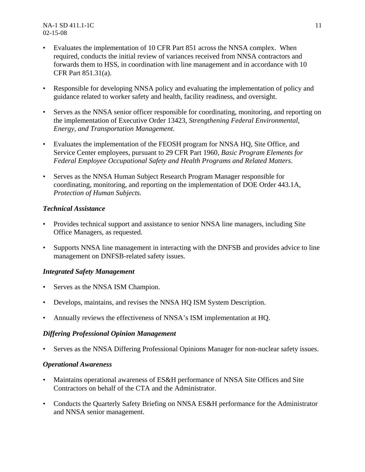NA-1 SD 411.1-1C 11 02-15-08

- Evaluates the implementation of 10 CFR Part 851 across the NNSA complex. When required, conducts the initial review of variances received from NNSA contractors and forwards them to HSS, in coordination with line management and in accordance with 10 CFR Part 851.31(a).
- Responsible for developing NNSA policy and evaluating the implementation of policy and guidance related to worker safety and health, facility readiness, and oversight.
- Serves as the NNSA senior officer responsible for coordinating, monitoring, and reporting on the implementation of Executive Order 13423, *Strengthening Federal Environmental, Energy, and Transportation Management.*
- Evaluates the implementation of the FEOSH program for NNSA HQ, Site Office, and Service Center employees, pursuant to 29 CFR Part 1960, *Basic Program Elements for Federal Employee Occupational Safety and Health Programs and Related Matters*.
- Serves as the NNSA Human Subject Research Program Manager responsible for coordinating, monitoring, and reporting on the implementation of DOE Order 443.1A, *Protection of Human Subjects.*

#### *Technical Assistance*

- Provides technical support and assistance to senior NNSA line managers, including Site Office Managers, as requested.
- Supports NNSA line management in interacting with the DNFSB and provides advice to line management on DNFSB-related safety issues.

#### *Integrated Safety Management*

- Serves as the NNSA ISM Champion.
- Develops, maintains, and revises the NNSA HQ ISM System Description.
- Annually reviews the effectiveness of NNSA's ISM implementation at HQ.

#### *Differing Professional Opinion Management*

Serves as the NNSA Differing Professional Opinions Manager for non-nuclear safety issues.

#### *Operational Awareness*

- Maintains operational awareness of ES&H performance of NNSA Site Offices and Site Contractors on behalf of the CTA and the Administrator.
- Conducts the Quarterly Safety Briefing on NNSA ES&H performance for the Administrator and NNSA senior management.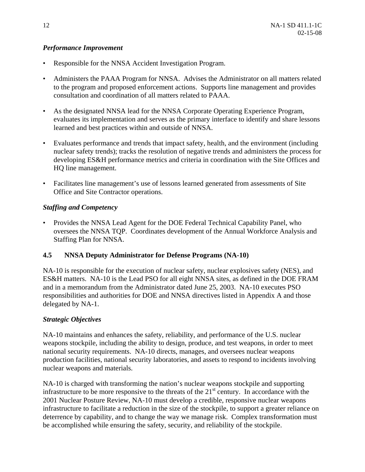#### *Performance Improvement*

- Responsible for the NNSA Accident Investigation Program.
- Administers the PAAA Program for NNSA. Advises the Administrator on all matters related to the program and proposed enforcement actions. Supports line management and provides consultation and coordination of all matters related to PAAA.
- As the designated NNSA lead for the NNSA Corporate Operating Experience Program, evaluates its implementation and serves as the primary interface to identify and share lessons learned and best practices within and outside of NNSA.
- Evaluates performance and trends that impact safety, health, and the environment (including nuclear safety trends); tracks the resolution of negative trends and administers the process for developing ES&H performance metrics and criteria in coordination with the Site Offices and HQ line management.
- Facilitates line management's use of lessons learned generated from assessments of Site Office and Site Contractor operations.

#### *Staffing and Competency*

• Provides the NNSA Lead Agent for the DOE Federal Technical Capability Panel, who oversees the NNSA TQP. Coordinates development of the Annual Workforce Analysis and Staffing Plan for NNSA.

#### **4.5 NNSA Deputy Administrator for Defense Programs (NA-10)**

NA-10 is responsible for the execution of nuclear safety, nuclear explosives safety (NES), and ES&H matters. NA-10 is the Lead PSO for all eight NNSA sites, as defined in the DOE FRAM and in a memorandum from the Administrator dated June 25, 2003. NA-10 executes PSO responsibilities and authorities for DOE and NNSA directives listed in Appendix A and those delegated by NA-1.

#### *Strategic Objectives*

NA-10 maintains and enhances the safety, reliability, and performance of the U.S. nuclear weapons stockpile, including the ability to design, produce, and test weapons, in order to meet national security requirements. NA-10 directs, manages, and oversees nuclear weapons production facilities, national security laboratories, and assets to respond to incidents involving nuclear weapons and materials.

NA-10 is charged with transforming the nation's nuclear weapons stockpile and supporting infrastructure to be more responsive to the threats of the  $21<sup>st</sup>$  century. In accordance with the 2001 Nuclear Posture Review, NA-10 must develop a credible, responsive nuclear weapons infrastructure to facilitate a reduction in the size of the stockpile, to support a greater reliance on deterrence by capability, and to change the way we manage risk. Complex transformation must be accomplished while ensuring the safety, security, and reliability of the stockpile.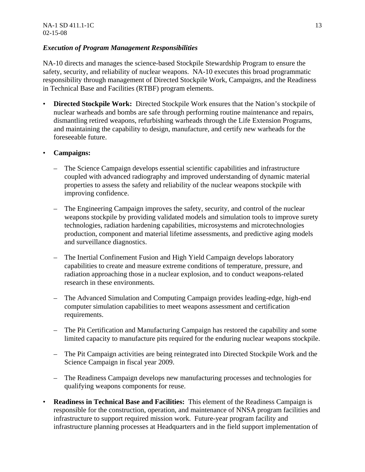#### *Execution of Program Management Responsibilities*

NA-10 directs and manages the science-based Stockpile Stewardship Program to ensure the safety, security, and reliability of nuclear weapons. NA-10 executes this broad programmatic responsibility through management of Directed Stockpile Work, Campaigns, and the Readiness in Technical Base and Facilities (RTBF) program elements.

• **Directed Stockpile Work:** Directed Stockpile Work ensures that the Nation's stockpile of nuclear warheads and bombs are safe through performing routine maintenance and repairs, dismantling retired weapons, refurbishing warheads through the Life Extension Programs, and maintaining the capability to design, manufacture, and certify new warheads for the foreseeable future.

#### • **Campaigns:**

- The Science Campaign develops essential scientific capabilities and infrastructure coupled with advanced radiography and improved understanding of dynamic material properties to assess the safety and reliability of the nuclear weapons stockpile with improving confidence.
- The Engineering Campaign improves the safety, security, and control of the nuclear weapons stockpile by providing validated models and simulation tools to improve surety technologies, radiation hardening capabilities, microsystems and microtechnologies production, component and material lifetime assessments, and predictive aging models and surveillance diagnostics.
- The Inertial Confinement Fusion and High Yield Campaign develops laboratory capabilities to create and measure extreme conditions of temperature, pressure, and radiation approaching those in a nuclear explosion, and to conduct weapons-related research in these environments.
- The Advanced Simulation and Computing Campaign provides leading-edge, high-end computer simulation capabilities to meet weapons assessment and certification requirements.
- The Pit Certification and Manufacturing Campaign has restored the capability and some limited capacity to manufacture pits required for the enduring nuclear weapons stockpile.
- The Pit Campaign activities are being reintegrated into Directed Stockpile Work and the Science Campaign in fiscal year 2009.
- The Readiness Campaign develops new manufacturing processes and technologies for qualifying weapons components for reuse.
- **Readiness in Technical Base and Facilities:** This element of the Readiness Campaign is responsible for the construction, operation, and maintenance of NNSA program facilities and infrastructure to support required mission work. Future-year program facility and infrastructure planning processes at Headquarters and in the field support implementation of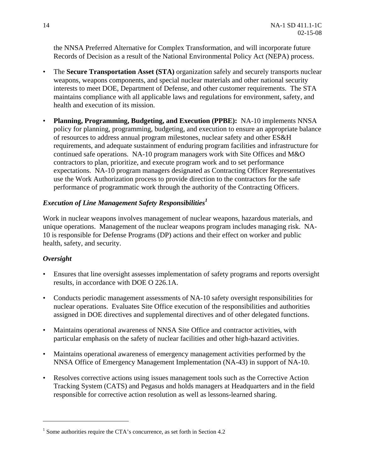the NNSA Preferred Alternative for Complex Transformation, and will incorporate future Records of Decision as a result of the National Environmental Policy Act (NEPA) process.

- The **Secure Transportation Asset (STA)** organization safely and securely transports nuclear weapons, weapons components, and special nuclear materials and other national security interests to meet DOE, Department of Defense, and other customer requirements. The STA maintains compliance with all applicable laws and regulations for environment, safety, and health and execution of its mission.
- **Planning, Programming, Budgeting, and Execution (PPBE):** NA-10 implements NNSA policy for planning, programming, budgeting, and execution to ensure an appropriate balance of resources to address annual program milestones, nuclear safety and other ES&H requirements, and adequate sustainment of enduring program facilities and infrastructure for continued safe operations. NA-10 program managers work with Site Offices and M&O contractors to plan, prioritize, and execute program work and to set performance expectations. NA-10 program managers designated as Contracting Officer Representatives use the Work Authorization process to provide direction to the contractors for the safe performance of programmatic work through the authority of the Contracting Officers.

#### *Execution of Line Management Safety Responsibilities<sup>1</sup>*

Work in nuclear weapons involves management of nuclear weapons, hazardous materials, and unique operations. Management of the nuclear weapons program includes managing risk. NA-10 is responsible for Defense Programs (DP) actions and their effect on worker and public health, safety, and security.

#### *Oversight*

 $\overline{a}$ 

- Ensures that line oversight assesses implementation of safety programs and reports oversight results, in accordance with DOE O 226.1A.
- Conducts periodic management assessments of NA-10 safety oversight responsibilities for nuclear operations. Evaluates Site Office execution of the responsibilities and authorities assigned in DOE directives and supplemental directives and of other delegated functions.
- Maintains operational awareness of NNSA Site Office and contractor activities, with particular emphasis on the safety of nuclear facilities and other high-hazard activities.
- Maintains operational awareness of emergency management activities performed by the NNSA Office of Emergency Management Implementation (NA-43) in support of NA-10.
- Resolves corrective actions using issues management tools such as the Corrective Action Tracking System (CATS) and Pegasus and holds managers at Headquarters and in the field responsible for corrective action resolution as well as lessons-learned sharing.

<sup>&</sup>lt;sup>1</sup> Some authorities require the CTA's concurrence, as set forth in Section 4.2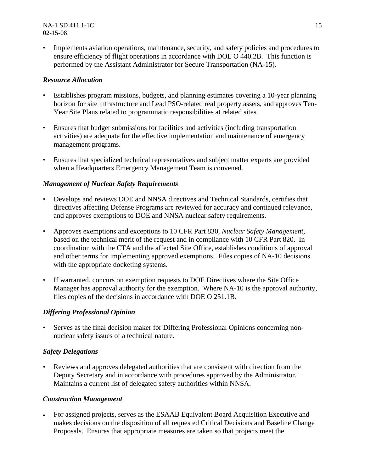• Implements aviation operations, maintenance, security, and safety policies and procedures to ensure efficiency of flight operations in accordance with DOE O 440.2B. This function is performed by the Assistant Administrator for Secure Transportation (NA-15).

#### *Resource Allocation*

- Establishes program missions, budgets, and planning estimates covering a 10-year planning horizon for site infrastructure and Lead PSO-related real property assets, and approves Ten-Year Site Plans related to programmatic responsibilities at related sites.
- Ensures that budget submissions for facilities and activities (including transportation activities) are adequate for the effective implementation and maintenance of emergency management programs.
- Ensures that specialized technical representatives and subject matter experts are provided when a Headquarters Emergency Management Team is convened.

#### *Management of Nuclear Safety Requirements*

- Develops and reviews DOE and NNSA directives and Technical Standards, certifies that directives affecting Defense Programs are reviewed for accuracy and continued relevance, and approves exemptions to DOE and NNSA nuclear safety requirements.
- Approves exemptions and exceptions to 10 CFR Part 830, *Nuclear Safety Management,*  based on the technical merit of the request and in compliance with 10 CFR Part 820. In coordination with the CTA and the affected Site Office, establishes conditions of approval and other terms for implementing approved exemptions. Files copies of NA-10 decisions with the appropriate docketing systems.
- If warranted, concurs on exemption requests to DOE Directives where the Site Office Manager has approval authority for the exemption. Where NA-10 is the approval authority, files copies of the decisions in accordance with DOE O 251.1B*.*

#### *Differing Professional Opinion*

• Serves as the final decision maker for Differing Professional Opinions concerning nonnuclear safety issues of a technical nature.

#### *Safety Delegations*

• Reviews and approves delegated authorities that are consistent with direction from the Deputy Secretary and in accordance with procedures approved by the Administrator. Maintains a current list of delegated safety authorities within NNSA.

#### *Construction Management*

• For assigned projects, serves as the ESAAB Equivalent Board Acquisition Executive and makes decisions on the disposition of all requested Critical Decisions and Baseline Change Proposals. Ensures that appropriate measures are taken so that projects meet the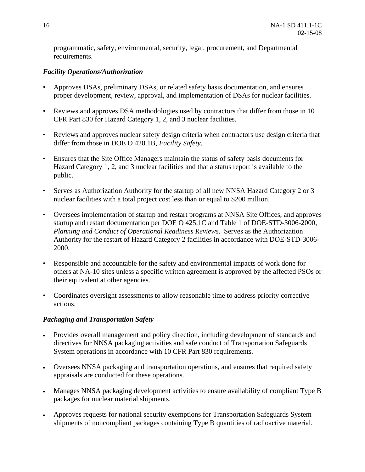programmatic, safety, environmental, security, legal, procurement, and Departmental requirements.

#### *Facility Operations/Authorization*

- Approves DSAs, preliminary DSAs, or related safety basis documentation, and ensures proper development, review, approval, and implementation of DSAs for nuclear facilities.
- Reviews and approves DSA methodologies used by contractors that differ from those in 10 CFR Part 830 for Hazard Category 1, 2, and 3 nuclear facilities.
- Reviews and approves nuclear safety design criteria when contractors use design criteria that differ from those in DOE O 420.1B, *Facility Safety*.
- Ensures that the Site Office Managers maintain the status of safety basis documents for Hazard Category 1, 2, and 3 nuclear facilities and that a status report is available to the public.
- Serves as Authorization Authority for the startup of all new NNSA Hazard Category 2 or 3 nuclear facilities with a total project cost less than or equal to \$200 million.
- Oversees implementation of startup and restart programs at NNSA Site Offices, and approves startup and restart documentation per DOE O 425.1C and Table 1 of DOE-STD-3006-2000, *Planning and Conduct of Operational Readiness Reviews*. Serves as the Authorization Authority for the restart of Hazard Category 2 facilities in accordance with DOE-STD-3006- 2000.
- Responsible and accountable for the safety and environmental impacts of work done for others at NA-10 sites unless a specific written agreement is approved by the affected PSOs or their equivalent at other agencies.
- Coordinates oversight assessments to allow reasonable time to address priority corrective actions.

#### *Packaging and Transportation Safety*

- Provides overall management and policy direction, including development of standards and directives for NNSA packaging activities and safe conduct of Transportation Safeguards System operations in accordance with 10 CFR Part 830 requirements.
- Oversees NNSA packaging and transportation operations, and ensures that required safety appraisals are conducted for these operations.
- Manages NNSA packaging development activities to ensure availability of compliant Type B packages for nuclear material shipments.
- Approves requests for national security exemptions for Transportation Safeguards System shipments of noncompliant packages containing Type B quantities of radioactive material.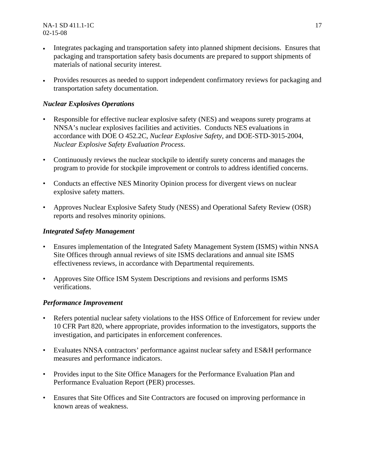- Integrates packaging and transportation safety into planned shipment decisions. Ensures that packaging and transportation safety basis documents are prepared to support shipments of materials of national security interest.
- Provides resources as needed to support independent confirmatory reviews for packaging and transportation safety documentation.

#### *Nuclear Explosives Operations*

- Responsible for effective nuclear explosive safety (NES) and weapons surety programs at NNSA's nuclear explosives facilities and activities. Conducts NES evaluations in accordance with DOE O 452.2C, *Nuclear Explosive Safety*, and DOE-STD-3015-2004, *Nuclear Explosive Safety Evaluation Process*.
- Continuously reviews the nuclear stockpile to identify surety concerns and manages the program to provide for stockpile improvement or controls to address identified concerns.
- Conducts an effective NES Minority Opinion process for divergent views on nuclear explosive safety matters.
- Approves Nuclear Explosive Safety Study (NESS) and Operational Safety Review (OSR) reports and resolves minority opinions.

#### *Integrated Safety Management*

- Ensures implementation of the Integrated Safety Management System (ISMS) within NNSA Site Offices through annual reviews of site ISMS declarations and annual site ISMS effectiveness reviews, in accordance with Departmental requirements.
- Approves Site Office ISM System Descriptions and revisions and performs ISMS verifications.

#### *Performance Improvement*

- Refers potential nuclear safety violations to the HSS Office of Enforcement for review under 10 CFR Part 820, where appropriate, provides information to the investigators, supports the investigation, and participates in enforcement conferences.
- Evaluates NNSA contractors' performance against nuclear safety and ES&H performance measures and performance indicators.
- Provides input to the Site Office Managers for the Performance Evaluation Plan and Performance Evaluation Report (PER) processes.
- Ensures that Site Offices and Site Contractors are focused on improving performance in known areas of weakness.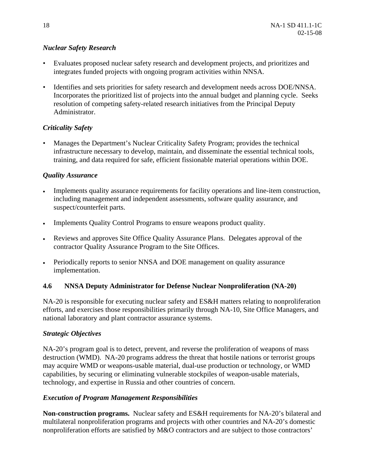#### *Nuclear Safety Research*

- Evaluates proposed nuclear safety research and development projects, and prioritizes and integrates funded projects with ongoing program activities within NNSA.
- Identifies and sets priorities for safety research and development needs across DOE/NNSA. Incorporates the prioritized list of projects into the annual budget and planning cycle. Seeks resolution of competing safety-related research initiatives from the Principal Deputy Administrator.

#### *Criticality Safety*

• Manages the Department's Nuclear Criticality Safety Program; provides the technical infrastructure necessary to develop, maintain, and disseminate the essential technical tools, training, and data required for safe, efficient fissionable material operations within DOE.

#### *Quality Assurance*

- Implements quality assurance requirements for facility operations and line-item construction, including management and independent assessments, software quality assurance, and suspect/counterfeit parts.
- Implements Quality Control Programs to ensure weapons product quality.
- Reviews and approves Site Office Quality Assurance Plans. Delegates approval of the contractor Quality Assurance Program to the Site Offices.
- Periodically reports to senior NNSA and DOE management on quality assurance implementation.

#### **4.6 NNSA Deputy Administrator for Defense Nuclear Nonproliferation (NA-20)**

NA-20 is responsible for executing nuclear safety and ES&H matters relating to nonproliferation efforts, and exercises those responsibilities primarily through NA-10, Site Office Managers, and national laboratory and plant contractor assurance systems.

#### *Strategic Objectives*

NA-20's program goal is to detect, prevent, and reverse the proliferation of weapons of mass destruction (WMD). NA-20 programs address the threat that hostile nations or terrorist groups may acquire WMD or weapons-usable material, dual-use production or technology, or WMD capabilities, by securing or eliminating vulnerable stockpiles of weapon-usable materials, technology, and expertise in Russia and other countries of concern.

#### *Execution of Program Management Responsibilities*

**Non-construction programs.** Nuclear safety and ES&H requirements for NA-20's bilateral and multilateral nonproliferation programs and projects with other countries and NA-20's domestic nonproliferation efforts are satisfied by M&O contractors and are subject to those contractors'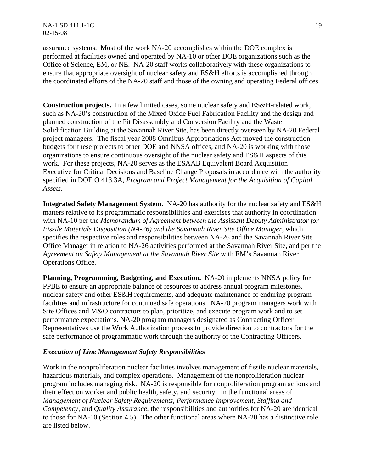NA-1 SD 411.1-1C 19 02-15-08

assurance systems. Most of the work NA-20 accomplishes within the DOE complex is performed at facilities owned and operated by NA-10 or other DOE organizations such as the Office of Science, EM, or NE. NA-20 staff works collaboratively with these organizations to ensure that appropriate oversight of nuclear safety and ES&H efforts is accomplished through the coordinated efforts of the NA-20 staff and those of the owning and operating Federal offices.

**Construction projects.** In a few limited cases, some nuclear safety and ES&H-related work, such as NA-20's construction of the Mixed Oxide Fuel Fabrication Facility and the design and planned construction of the Pit Disassembly and Conversion Facility and the Waste Solidification Building at the Savannah River Site, has been directly overseen by NA-20 Federal project managers. The fiscal year 2008 Omnibus Appropriations Act moved the construction budgets for these projects to other DOE and NNSA offices, and NA-20 is working with those organizations to ensure continuous oversight of the nuclear safety and ES&H aspects of this work. For these projects, NA-20 serves as the ESAAB Equivalent Board Acquisition Executive for Critical Decisions and Baseline Change Proposals in accordance with the authority specified in DOE O 413.3A, *Program and Project Management for the Acquisition of Capital Assets*.

**Integrated Safety Management System.** NA-20 has authority for the nuclear safety and ES&H matters relative to its programmatic responsibilities and exercises that authority in coordination with NA-10 per the *Memorandum of Agreement between the Assistant Deputy Administrator for Fissile Materials Disposition (NA-26) and the Savannah River Site Office Manager*, which specifies the respective roles and responsibilities between NA-26 and the Savannah River Site Office Manager in relation to NA-26 activities performed at the Savannah River Site, and per the *Agreement on Safety Management at the Savannah River Site* with EM's Savannah River Operations Office.

**Planning, Programming, Budgeting, and Execution.** NA-20 implements NNSA policy for PPBE to ensure an appropriate balance of resources to address annual program milestones, nuclear safety and other ES&H requirements, and adequate maintenance of enduring program facilities and infrastructure for continued safe operations. NA-20 program managers work with Site Offices and M&O contractors to plan, prioritize, and execute program work and to set performance expectations. NA-20 program managers designated as Contracting Officer Representatives use the Work Authorization process to provide direction to contractors for the safe performance of programmatic work through the authority of the Contracting Officers.

#### *Execution of Line Management Safety Responsibilities*

Work in the nonproliferation nuclear facilities involves management of fissile nuclear materials, hazardous materials, and complex operations. Management of the nonproliferation nuclear program includes managing risk. NA-20 is responsible for nonproliferation program actions and their effect on worker and public health, safety, and security. In the functional areas of *Management of Nuclear Safety Requirements, Performance Improvement, Staffing and Competency*, and *Quality Assurance,* the responsibilities and authorities for NA-20 are identical to those for NA-10 (Section 4.5). The other functional areas where NA-20 has a distinctive role are listed below.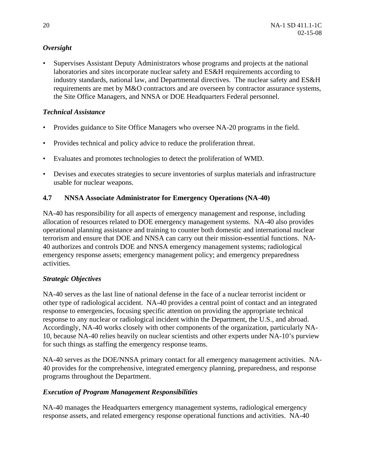#### *Oversight*

• Supervises Assistant Deputy Administrators whose programs and projects at the national laboratories and sites incorporate nuclear safety and ES&H requirements according to industry standards, national law, and Departmental directives. The nuclear safety and ES&H requirements are met by M&O contractors and are overseen by contractor assurance systems, the Site Office Managers, and NNSA or DOE Headquarters Federal personnel.

#### *Technical Assistance*

- Provides guidance to Site Office Managers who oversee NA-20 programs in the field.
- Provides technical and policy advice to reduce the proliferation threat.
- Evaluates and promotes technologies to detect the proliferation of WMD.
- Devises and executes strategies to secure inventories of surplus materials and infrastructure usable for nuclear weapons.

#### **4.7 NNSA Associate Administrator for Emergency Operations (NA-40)**

NA-40 has responsibility for all aspects of emergency management and response, including allocation of resources related to DOE emergency management systems. NA-40 also provides operational planning assistance and training to counter both domestic and international nuclear terrorism and ensure that DOE and NNSA can carry out their mission-essential functions. NA-40 authorizes and controls DOE and NNSA emergency management systems; radiological emergency response assets; emergency management policy; and emergency preparedness activities.

#### *Strategic Objectives*

NA-40 serves as the last line of national defense in the face of a nuclear terrorist incident or other type of radiological accident. NA-40 provides a central point of contact and an integrated response to emergencies, focusing specific attention on providing the appropriate technical response to any nuclear or radiological incident within the Department, the U.S., and abroad. Accordingly, NA-40 works closely with other components of the organization, particularly NA-10, because NA-40 relies heavily on nuclear scientists and other experts under NA-10's purview for such things as staffing the emergency response teams.

NA-40 serves as the DOE/NNSA primary contact for all emergency management activities. NA-40 provides for the comprehensive, integrated emergency planning, preparedness, and response programs throughout the Department.

#### *Execution of Program Management Responsibilities*

NA-40 manages the Headquarters emergency management systems, radiological emergency response assets, and related emergency response operational functions and activities. NA-40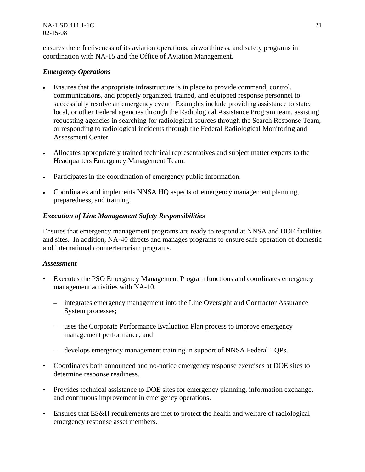ensures the effectiveness of its aviation operations, airworthiness, and safety programs in coordination with NA-15 and the Office of Aviation Management.

#### *Emergency Operations*

- Ensures that the appropriate infrastructure is in place to provide command, control, communications, and properly organized, trained, and equipped response personnel to successfully resolve an emergency event. Examples include providing assistance to state, local, or other Federal agencies through the Radiological Assistance Program team, assisting requesting agencies in searching for radiological sources through the Search Response Team, or responding to radiological incidents through the Federal Radiological Monitoring and Assessment Center.
- Allocates appropriately trained technical representatives and subject matter experts to the Headquarters Emergency Management Team.
- Participates in the coordination of emergency public information.
- Coordinates and implements NNSA HQ aspects of emergency management planning, preparedness, and training.

#### *Execution of Line Management Safety Responsibilities*

Ensures that emergency management programs are ready to respond at NNSA and DOE facilities and sites. In addition, NA-40 directs and manages programs to ensure safe operation of domestic and international counterterrorism programs.

#### *Assessment*

- Executes the PSO Emergency Management Program functions and coordinates emergency management activities with NA-10.
	- integrates emergency management into the Line Oversight and Contractor Assurance System processes;
	- uses the Corporate Performance Evaluation Plan process to improve emergency management performance; and
	- develops emergency management training in support of NNSA Federal TQPs.
- Coordinates both announced and no-notice emergency response exercises at DOE sites to determine response readiness.
- Provides technical assistance to DOE sites for emergency planning, information exchange, and continuous improvement in emergency operations.
- Ensures that ES&H requirements are met to protect the health and welfare of radiological emergency response asset members.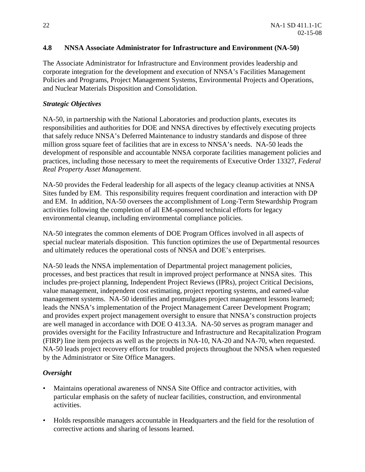#### **4.8 NNSA Associate Administrator for Infrastructure and Environment (NA-50)**

The Associate Administrator for Infrastructure and Environment provides leadership and corporate integration for the development and execution of NNSA's Facilities Management Policies and Programs, Project Management Systems, Environmental Projects and Operations, and Nuclear Materials Disposition and Consolidation.

#### *Strategic Objectives*

NA-50, in partnership with the National Laboratories and production plants, executes its responsibilities and authorities for DOE and NNSA directives by effectively executing projects that safely reduce NNSA's Deferred Maintenance to industry standards and dispose of three million gross square feet of facilities that are in excess to NNSA's needs. NA-50 leads the development of responsible and accountable NNSA corporate facilities management policies and practices, including those necessary to meet the requirements of Executive Order 13327, *Federal Real Property Asset Management*.

NA-50 provides the Federal leadership for all aspects of the legacy cleanup activities at NNSA Sites funded by EM. This responsibility requires frequent coordination and interaction with DP and EM. In addition, NA-50 oversees the accomplishment of Long-Term Stewardship Program activities following the completion of all EM-sponsored technical efforts for legacy environmental cleanup, including environmental compliance policies.

NA-50 integrates the common elements of DOE Program Offices involved in all aspects of special nuclear materials disposition. This function optimizes the use of Departmental resources and ultimately reduces the operational costs of NNSA and DOE's enterprises.

NA-50 leads the NNSA implementation of Departmental project management policies, processes, and best practices that result in improved project performance at NNSA sites. This includes pre-project planning, Independent Project Reviews (IPRs), project Critical Decisions, value management, independent cost estimating, project reporting systems, and earned-value management systems. NA-50 identifies and promulgates project management lessons learned; leads the NNSA's implementation of the Project Management Career Development Program; and provides expert project management oversight to ensure that NNSA's construction projects are well managed in accordance with DOE O 413.3A*.* NA-50 serves as program manager and provides oversight for the Facility Infrastructure and Infrastructure and Recapitalization Program (FIRP) line item projects as well as the projects in NA-10, NA-20 and NA-70, when requested. NA-50 leads project recovery efforts for troubled projects throughout the NNSA when requested by the Administrator or Site Office Managers.

#### *Oversight*

- Maintains operational awareness of NNSA Site Office and contractor activities, with particular emphasis on the safety of nuclear facilities, construction, and environmental activities.
- Holds responsible managers accountable in Headquarters and the field for the resolution of corrective actions and sharing of lessons learned.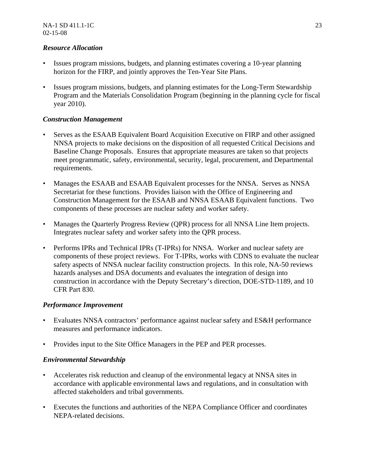#### *Resource Allocation*

- Issues program missions, budgets, and planning estimates covering a 10-year planning horizon for the FIRP, and jointly approves the Ten-Year Site Plans.
- Issues program missions, budgets, and planning estimates for the Long-Term Stewardship Program and the Materials Consolidation Program (beginning in the planning cycle for fiscal year 2010).

#### *Construction Management*

- Serves as the ESAAB Equivalent Board Acquisition Executive on FIRP and other assigned NNSA projects to make decisions on the disposition of all requested Critical Decisions and Baseline Change Proposals. Ensures that appropriate measures are taken so that projects meet programmatic, safety, environmental, security, legal, procurement, and Departmental requirements.
- Manages the ESAAB and ESAAB Equivalent processes for the NNSA. Serves as NNSA Secretariat for these functions. Provides liaison with the Office of Engineering and Construction Management for the ESAAB and NNSA ESAAB Equivalent functions. Two components of these processes are nuclear safety and worker safety.
- Manages the Quarterly Progress Review (OPR) process for all NNSA Line Item projects. Integrates nuclear safety and worker safety into the QPR process.
- Performs IPRs and Technical IPRs (T-IPRs) for NNSA. Worker and nuclear safety are components of these project reviews. For T-IPRs, works with CDNS to evaluate the nuclear safety aspects of NNSA nuclear facility construction projects. In this role, NA-50 reviews hazards analyses and DSA documents and evaluates the integration of design into construction in accordance with the Deputy Secretary's direction, DOE-STD-1189, and 10 CFR Part 830.

#### *Performance Improvement*

- Evaluates NNSA contractors' performance against nuclear safety and ES&H performance measures and performance indicators.
- Provides input to the Site Office Managers in the PEP and PER processes.

#### *Environmental Stewardship*

- Accelerates risk reduction and cleanup of the environmental legacy at NNSA sites in accordance with applicable environmental laws and regulations, and in consultation with affected stakeholders and tribal governments.
- Executes the functions and authorities of the NEPA Compliance Officer and coordinates NEPA-related decisions.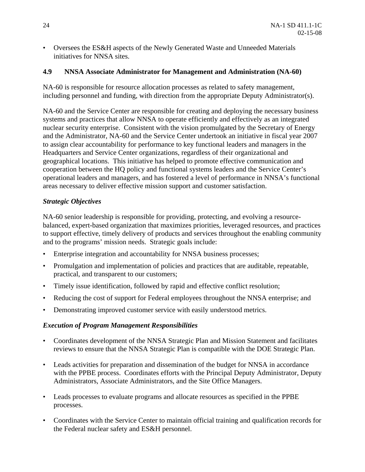• Oversees the ES&H aspects of the Newly Generated Waste and Unneeded Materials initiatives for NNSA sites.

#### **4.9 NNSA Associate Administrator for Management and Administration (NA-60)**

NA-60 is responsible for resource allocation processes as related to safety management, including personnel and funding, with direction from the appropriate Deputy Administrator(s).

NA-60 and the Service Center are responsible for creating and deploying the necessary business systems and practices that allow NNSA to operate efficiently and effectively as an integrated nuclear security enterprise. Consistent with the vision promulgated by the Secretary of Energy and the Administrator, NA-60 and the Service Center undertook an initiative in fiscal year 2007 to assign clear accountability for performance to key functional leaders and managers in the Headquarters and Service Center organizations, regardless of their organizational and geographical locations. This initiative has helped to promote effective communication and cooperation between the HQ policy and functional systems leaders and the Service Center's operational leaders and managers, and has fostered a level of performance in NNSA's functional areas necessary to deliver effective mission support and customer satisfaction.

#### *Strategic Objectives*

NA-60 senior leadership is responsible for providing, protecting, and evolving a resourcebalanced, expert-based organization that maximizes priorities, leveraged resources, and practices to support effective, timely delivery of products and services throughout the enabling community and to the programs' mission needs. Strategic goals include:

- Enterprise integration and accountability for NNSA business processes;
- Promulgation and implementation of policies and practices that are auditable, repeatable, practical, and transparent to our customers;
- Timely issue identification, followed by rapid and effective conflict resolution;
- Reducing the cost of support for Federal employees throughout the NNSA enterprise; and
- Demonstrating improved customer service with easily understood metrics.

#### *Execution of Program Management Responsibilities*

- Coordinates development of the NNSA Strategic Plan and Mission Statement and facilitates reviews to ensure that the NNSA Strategic Plan is compatible with the DOE Strategic Plan.
- Leads activities for preparation and dissemination of the budget for NNSA in accordance with the PPBE process. Coordinates efforts with the Principal Deputy Administrator, Deputy Administrators, Associate Administrators, and the Site Office Managers.
- Leads processes to evaluate programs and allocate resources as specified in the PPBE processes.
- Coordinates with the Service Center to maintain official training and qualification records for the Federal nuclear safety and ES&H personnel.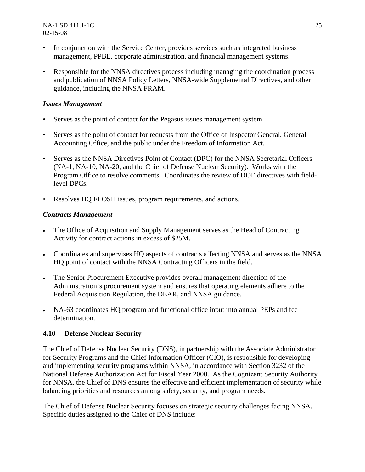NA-1 SD 411.1-1C 25 02-15-08

- In conjunction with the Service Center, provides services such as integrated business management, PPBE, corporate administration, and financial management systems.
- Responsible for the NNSA directives process including managing the coordination process and publication of NNSA Policy Letters, NNSA-wide Supplemental Directives, and other guidance, including the NNSA FRAM.

#### *Issues Management*

- Serves as the point of contact for the Pegasus issues management system.
- Serves as the point of contact for requests from the Office of Inspector General, General Accounting Office, and the public under the Freedom of Information Act.
- Serves as the NNSA Directives Point of Contact (DPC) for the NNSA Secretarial Officers (NA-1, NA-10, NA-20, and the Chief of Defense Nuclear Security). Works with the Program Office to resolve comments. Coordinates the review of DOE directives with fieldlevel DPCs.
- Resolves HQ FEOSH issues, program requirements, and actions.

#### *Contracts Management*

- The Office of Acquisition and Supply Management serves as the Head of Contracting Activity for contract actions in excess of \$25M.
- Coordinates and supervises HQ aspects of contracts affecting NNSA and serves as the NNSA HQ point of contact with the NNSA Contracting Officers in the field.
- The Senior Procurement Executive provides overall management direction of the Administration's procurement system and ensures that operating elements adhere to the Federal Acquisition Regulation, the DEAR, and NNSA guidance.
- NA-63 coordinates HQ program and functional office input into annual PEPs and fee determination.

#### **4.10 Defense Nuclear Security**

The Chief of Defense Nuclear Security (DNS), in partnership with the Associate Administrator for Security Programs and the Chief Information Officer (CIO), is responsible for developing and implementing security programs within NNSA, in accordance with Section 3232 of the National Defense Authorization Act for Fiscal Year 2000. As the Cognizant Security Authority for NNSA, the Chief of DNS ensures the effective and efficient implementation of security while balancing priorities and resources among safety, security, and program needs.

The Chief of Defense Nuclear Security focuses on strategic security challenges facing NNSA. Specific duties assigned to the Chief of DNS include: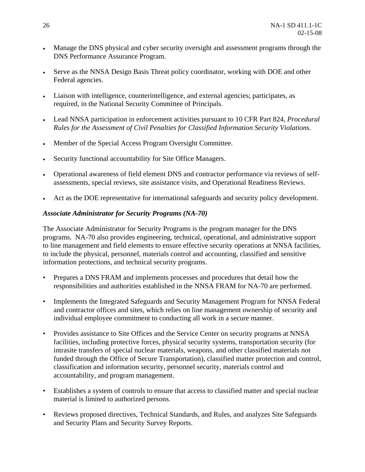- Manage the DNS physical and cyber security oversight and assessment programs through the DNS Performance Assurance Program.
- Serve as the NNSA Design Basis Threat policy coordinator, working with DOE and other Federal agencies.
- Liaison with intelligence, counterintelligence, and external agencies; participates, as required, in the National Security Committee of Principals.
- Lead NNSA participation in enforcement activities pursuant to 10 CFR Part 824, *Procedural Rules for the Assessment of Civil Penalties for Classified Information Security Violations*.
- Member of the Special Access Program Oversight Committee.
- Security functional accountability for Site Office Managers.
- Operational awareness of field element DNS and contractor performance via reviews of selfassessments, special reviews, site assistance visits, and Operational Readiness Reviews.
- Act as the DOE representative for international safeguards and security policy development.

#### *Associate Administrator for Security Programs (NA-70)*

The Associate Administrator for Security Programs is the program manager for the DNS programs. NA-70 also provides engineering, technical, operational, and administrative support to line management and field elements to ensure effective security operations at NNSA facilities, to include the physical, personnel, materials control and accounting, classified and sensitive information protections, and technical security programs.

- Prepares a DNS FRAM and implements processes and procedures that detail how the responsibilities and authorities established in the NNSA FRAM for NA-70 are performed.
- Implements the Integrated Safeguards and Security Management Program for NNSA Federal and contractor offices and sites, which relies on line management ownership of security and individual employee commitment to conducting all work in a secure manner.
- Provides assistance to Site Offices and the Service Center on security programs at NNSA facilities, including protective forces, physical security systems, transportation security (for intrasite transfers of special nuclear materials, weapons, and other classified materials not funded through the Office of Secure Transportation), classified matter protection and control, classification and information security, personnel security, materials control and accountability, and program management.
- Establishes a system of controls to ensure that access to classified matter and special nuclear material is limited to authorized persons.
- Reviews proposed directives, Technical Standards, and Rules, and analyzes Site Safeguards and Security Plans and Security Survey Reports.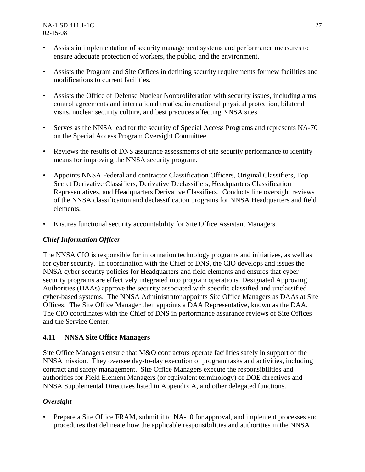- Assists in implementation of security management systems and performance measures to ensure adequate protection of workers, the public, and the environment.
- Assists the Program and Site Offices in defining security requirements for new facilities and modifications to current facilities.
- Assists the Office of Defense Nuclear Nonproliferation with security issues, including arms control agreements and international treaties, international physical protection, bilateral visits, nuclear security culture, and best practices affecting NNSA sites.
- Serves as the NNSA lead for the security of Special Access Programs and represents NA-70 on the Special Access Program Oversight Committee.
- Reviews the results of DNS assurance assessments of site security performance to identify means for improving the NNSA security program.
- Appoints NNSA Federal and contractor Classification Officers, Original Classifiers, Top Secret Derivative Classifiers, Derivative Declassifiers, Headquarters Classification Representatives, and Headquarters Derivative Classifiers. Conducts line oversight reviews of the NNSA classification and declassification programs for NNSA Headquarters and field elements.
- Ensures functional security accountability for Site Office Assistant Managers.

#### *Chief Information Officer*

The NNSA CIO is responsible for information technology programs and initiatives, as well as for cyber security. In coordination with the Chief of DNS, the CIO develops and issues the NNSA cyber security policies for Headquarters and field elements and ensures that cyber security programs are effectively integrated into program operations. Designated Approving Authorities (DAAs) approve the security associated with specific classified and unclassified cyber-based systems. The NNSA Administrator appoints Site Office Managers as DAAs at Site Offices. The Site Office Manager then appoints a DAA Representative, known as the DAA. The CIO coordinates with the Chief of DNS in performance assurance reviews of Site Offices and the Service Center.

#### **4.11 NNSA Site Office Managers**

Site Office Managers ensure that M&O contractors operate facilities safely in support of the NNSA mission. They oversee day-to-day execution of program tasks and activities, including contract and safety management. Site Office Managers execute the responsibilities and authorities for Field Element Managers (or equivalent terminology) of DOE directives and NNSA Supplemental Directives listed in Appendix A, and other delegated functions.

#### *Oversight*

• Prepare a Site Office FRAM, submit it to NA-10 for approval, and implement processes and procedures that delineate how the applicable responsibilities and authorities in the NNSA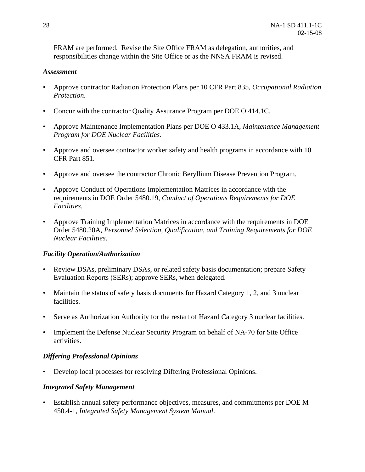FRAM are performed. Revise the Site Office FRAM as delegation, authorities, and responsibilities change within the Site Office or as the NNSA FRAM is revised.

#### *Assessment*

- Approve contractor Radiation Protection Plans per 10 CFR Part 835, *Occupational Radiation Protection*.
- Concur with the contractor Quality Assurance Program per DOE O 414.1C.
- Approve Maintenance Implementation Plans per DOE O 433.1A, *Maintenance Management Program for DOE Nuclear Facilities*.
- Approve and oversee contractor worker safety and health programs in accordance with 10 CFR Part 851.
- Approve and oversee the contractor Chronic Beryllium Disease Prevention Program.
- Approve Conduct of Operations Implementation Matrices in accordance with the requirements in DOE Order 5480.19, *Conduct of Operations Requirements for DOE Facilities*.
- Approve Training Implementation Matrices in accordance with the requirements in DOE Order 5480.20A, *Personnel Selection, Qualification, and Training Requirements for DOE Nuclear Facilities*.

#### *Facility Operation/Authorization*

- Review DSAs, preliminary DSAs, or related safety basis documentation; prepare Safety Evaluation Reports (SERs); approve SERs, when delegated.
- Maintain the status of safety basis documents for Hazard Category 1, 2, and 3 nuclear facilities.
- Serve as Authorization Authority for the restart of Hazard Category 3 nuclear facilities.
- Implement the Defense Nuclear Security Program on behalf of NA-70 for Site Office activities.

#### *Differing Professional Opinions*

• Develop local processes for resolving Differing Professional Opinions.

#### *Integrated Safety Management*

• Establish annual safety performance objectives, measures, and commitments per DOE M 450.4-1, *Integrated Safety Management System Manual*.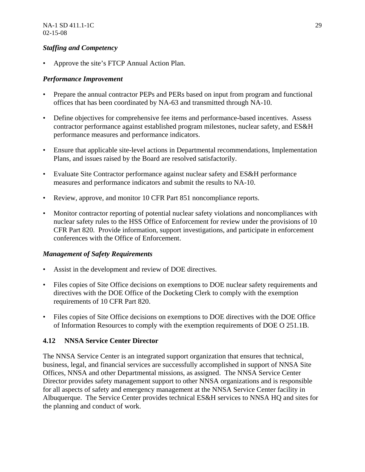#### *Staffing and Competency*

• Approve the site's FTCP Annual Action Plan.

#### *Performance Improvement*

- Prepare the annual contractor PEPs and PERs based on input from program and functional offices that has been coordinated by NA-63 and transmitted through NA-10.
- Define objectives for comprehensive fee items and performance-based incentives. Assess contractor performance against established program milestones, nuclear safety, and ES&H performance measures and performance indicators.
- Ensure that applicable site-level actions in Departmental recommendations, Implementation Plans, and issues raised by the Board are resolved satisfactorily.
- Evaluate Site Contractor performance against nuclear safety and ES&H performance measures and performance indicators and submit the results to NA-10.
- Review, approve, and monitor 10 CFR Part 851 noncompliance reports.
- Monitor contractor reporting of potential nuclear safety violations and noncompliances with nuclear safety rules to the HSS Office of Enforcement for review under the provisions of 10 CFR Part 820. Provide information, support investigations, and participate in enforcement conferences with the Office of Enforcement.

#### *Management of Safety Requirements*

- Assist in the development and review of DOE directives.
- Files copies of Site Office decisions on exemptions to DOE nuclear safety requirements and directives with the DOE Office of the Docketing Clerk to comply with the exemption requirements of 10 CFR Part 820.
- Files copies of Site Office decisions on exemptions to DOE directives with the DOE Office of Information Resources to comply with the exemption requirements of DOE O 251.1B.

#### **4.12 NNSA Service Center Director**

The NNSA Service Center is an integrated support organization that ensures that technical, business, legal, and financial services are successfully accomplished in support of NNSA Site Offices, NNSA and other Departmental missions, as assigned. The NNSA Service Center Director provides safety management support to other NNSA organizations and is responsible for all aspects of safety and emergency management at the NNSA Service Center facility in Albuquerque. The Service Center provides technical ES&H services to NNSA HQ and sites for the planning and conduct of work.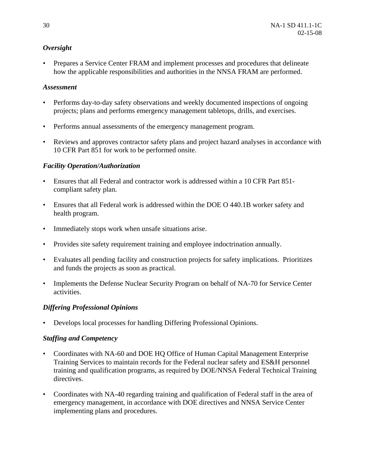#### *Oversight*

• Prepares a Service Center FRAM and implement processes and procedures that delineate how the applicable responsibilities and authorities in the NNSA FRAM are performed.

#### *Assessment*

- Performs day-to-day safety observations and weekly documented inspections of ongoing projects; plans and performs emergency management tabletops, drills, and exercises.
- Performs annual assessments of the emergency management program.
- Reviews and approves contractor safety plans and project hazard analyses in accordance with 10 CFR Part 851 for work to be performed onsite.

#### *Facility Operation/Authorization*

- Ensures that all Federal and contractor work is addressed within a 10 CFR Part 851 compliant safety plan.
- Ensures that all Federal work is addressed within the DOE O 440.1B worker safety and health program.
- Immediately stops work when unsafe situations arise.
- Provides site safety requirement training and employee indoctrination annually.
- Evaluates all pending facility and construction projects for safety implications. Prioritizes and funds the projects as soon as practical.
- Implements the Defense Nuclear Security Program on behalf of NA-70 for Service Center activities.

#### *Differing Professional Opinions*

• Develops local processes for handling Differing Professional Opinions.

#### *Staffing and Competency*

- Coordinates with NA-60 and DOE HQ Office of Human Capital Management Enterprise Training Services to maintain records for the Federal nuclear safety and ES&H personnel training and qualification programs, as required by DOE/NNSA Federal Technical Training directives.
- Coordinates with NA-40 regarding training and qualification of Federal staff in the area of emergency management, in accordance with DOE directives and NNSA Service Center implementing plans and procedures.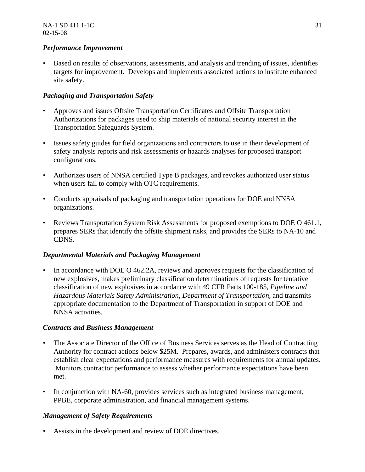#### *Performance Improvement*

• Based on results of observations, assessments, and analysis and trending of issues, identifies targets for improvement. Develops and implements associated actions to institute enhanced site safety.

#### *Packaging and Transportation Safety*

- Approves and issues Offsite Transportation Certificates and Offsite Transportation Authorizations for packages used to ship materials of national security interest in the Transportation Safeguards System.
- Issues safety guides for field organizations and contractors to use in their development of safety analysis reports and risk assessments or hazards analyses for proposed transport configurations.
- Authorizes users of NNSA certified Type B packages, and revokes authorized user status when users fail to comply with OTC requirements.
- Conducts appraisals of packaging and transportation operations for DOE and NNSA organizations.
- Reviews Transportation System Risk Assessments for proposed exemptions to DOE O 461.1, prepares SERs that identify the offsite shipment risks, and provides the SERs to NA-10 and CDNS.

#### *Departmental Materials and Packaging Management*

• In accordance with DOE O 462.2A, reviews and approves requests for the classification of new explosives, makes preliminary classification determinations of requests for tentative classification of new explosives in accordance with 49 CFR Parts 100-185, *Pipeline and Hazardous Materials Safety Administration, Department of Transportation,* and transmits appropriate documentation to the Department of Transportation in support of DOE and NNSA activities.

#### *Contracts and Business Management*

- The Associate Director of the Office of Business Services serves as the Head of Contracting Authority for contract actions below \$25M. Prepares, awards, and administers contracts that establish clear expectations and performance measures with requirements for annual updates. Monitors contractor performance to assess whether performance expectations have been met.
- In conjunction with NA-60, provides services such as integrated business management, PPBE, corporate administration, and financial management systems.

#### *Management of Safety Requirements*

Assists in the development and review of DOE directives.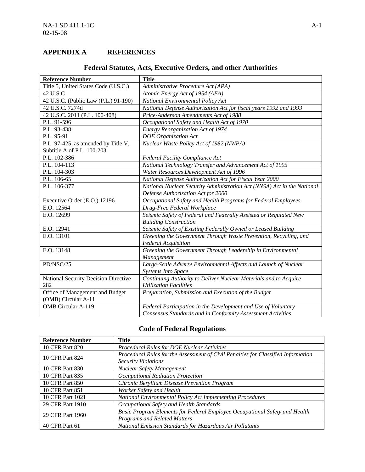#### **APPENDIX A REFERENCES**

| <b>Reference Number</b>              | <b>Title</b>                                                            |
|--------------------------------------|-------------------------------------------------------------------------|
| Title 5, United States Code (U.S.C.) | Administrative Procedure Act (APA)                                      |
| 42 U.S.C                             | Atomic Energy Act of 1954 (AEA)                                         |
| 42 U.S.C. (Public Law (P.L.) 91-190) | National Environmental Policy Act                                       |
| 42 U.S.C. 7274d                      | National Defense Authorization Act for fiscal years 1992 and 1993       |
| 42 U.S.C. 2011 (P.L. 100-408)        | Price-Anderson Amendments Act of 1988                                   |
| P.L. 91-596                          | Occupational Safety and Health Act of 1970                              |
| P.L. 93-438                          | Energy Reorganization Act of 1974                                       |
| P.L. 95-91                           | <b>DOE</b> Organization Act                                             |
| P.L. 97-425, as amended by Title V,  | Nuclear Waste Policy Act of 1982 (NWPA)                                 |
| Subtitle A of P.L. 100-203           |                                                                         |
| P.L. 102-386                         | <b>Federal Facility Compliance Act</b>                                  |
| P.L. 104-113                         | National Technology Transfer and Advancement Act of 1995                |
| P.L. 104-303                         | Water Resources Development Act of 1996                                 |
| P.L. 106-65                          | National Defense Authorization Act for Fiscal Year 2000                 |
| P.L. 106-377                         | National Nuclear Security Administration Act (NNSA) Act in the National |
|                                      | Defense Authorization Act for 2000                                      |
| Executive Order (E.O.) 12196         | Occupational Safety and Health Programs for Federal Employees           |
| E.O. 12564                           | Drug-Free Federal Workplace                                             |
| E.O. 12699                           | Seismic Safety of Federal and Federally Assisted or Regulated New       |
|                                      | <b>Building Construction</b>                                            |
| E.O. 12941                           | Seismic Safety of Existing Federally Owned or Leased Building           |
| E.O. 13101                           | Greening the Government Through Waste Prevention, Recycling, and        |
|                                      | <b>Federal Acquisition</b>                                              |
| E.O. 13148                           | Greening the Government Through Leadership in Environmental             |
|                                      | Management                                                              |
| PD/NSC/25                            | Large-Scale Adverse Environmental Affects and Launch of Nuclear         |
|                                      | <b>Systems Into Space</b>                                               |
| National Security Decision Directive | Continuing Authority to Deliver Nuclear Materials and to Acquire        |
| 282                                  | <b>Utilization Facilities</b>                                           |
| Office of Management and Budget      | Preparation, Submission and Execution of the Budget                     |
| (OMB) Circular A-11                  |                                                                         |
| <b>OMB</b> Circular A-119            | Federal Participation in the Development and Use of Voluntary           |
|                                      | Consensus Standards and in Conformity Assessment Activities             |

#### **Federal Statutes, Acts, Executive Orders, and other Authorities**

#### **Code of Federal Regulations**

| <b>Reference Number</b> | Title                                                                             |
|-------------------------|-----------------------------------------------------------------------------------|
| 10 CFR Part 820         | Procedural Rules for DOE Nuclear Activities                                       |
| 10 CFR Part 824         | Procedural Rules for the Assessment of Civil Penalties for Classified Information |
|                         | <b>Security Violations</b>                                                        |
| 10 CFR Part 830         | <b>Nuclear Safety Management</b>                                                  |
| 10 CFR Part 835         | Occupational Radiation Protection                                                 |
| 10 CFR Part 850         | Chronic Beryllium Disease Prevention Program                                      |
| 10 CFR Part 851         | Worker Safety and Health                                                          |
| 10 CFR Part 1021        | National Environmental Policy Act Implementing Procedures                         |
| 29 CFR Part 1910        | Occupational Safety and Health Standards                                          |
| 29 CFR Part 1960        | Basic Program Elements for Federal Employee Occupational Safety and Health        |
|                         | <b>Programs and Related Matters</b>                                               |
| 40 CFR Part 61          | National Emission Standards for Hazardous Air Pollutants                          |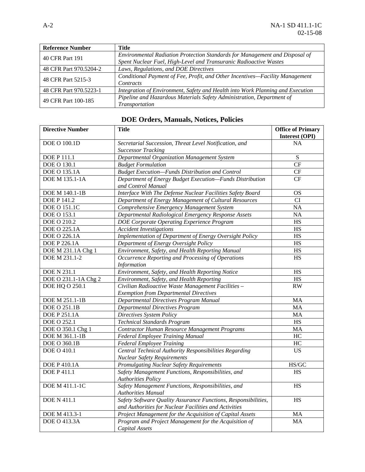| <b>Reference Number</b> | Title                                                                          |
|-------------------------|--------------------------------------------------------------------------------|
| 40 CFR Part 191         | Environmental Radiation Protection Standards for Management and Disposal of    |
|                         | Spent Nuclear Fuel, High-Level and Transuranic Radioactive Wastes              |
| 48 CFR Part 970.5204-2  | Laws, Regulations, and DOE Directives                                          |
| 48 CFR Part 5215-3      | Conditional Payment of Fee, Profit, and Other Incentives-Facility Management   |
|                         | Contracts                                                                      |
| 48 CFR Part 970.5223-1  | Integration of Environment, Safety and Health into Work Planning and Execution |
| 49 CFR Part 100-185     | Pipeline and Hazardous Materials Safety Administration, Department of          |
|                         | Transportation                                                                 |

| <b>Directive Number</b> | <b>Title</b>                                                   | <b>Office of Primary</b> |
|-------------------------|----------------------------------------------------------------|--------------------------|
|                         |                                                                | Interest (OPI)           |
| <b>DOE O 100.1D</b>     | Secretarial Succession, Threat Level Notification, and         | <b>NA</b>                |
|                         | <b>Successor Tracking</b>                                      |                          |
| <b>DOE P 111.1</b>      | Departmental Organization Management System                    | S                        |
| <b>DOE O 130.1</b>      | <b>Budget Formulation</b>                                      | CF                       |
| <b>DOE O 135.1A</b>     | <b>Budget Execution-Funds Distribution and Control</b>         | CF                       |
| DOE M 135.1-1A          | Department of Energy Budget Execution-Funds Distribution       | <b>CF</b>                |
|                         | and Control Manual                                             |                          |
| DOE M 140.1-1B          | Interface With The Defense Nuclear Facilities Safety Board     | <b>OS</b>                |
| <b>DOE P 141.2</b>      | Department of Energy Management of Cultural Resources          | CI                       |
| <b>DOE O 151.1C</b>     | Comprehensive Emergency Management System                      | NA                       |
| DOE O 153.1             | Departmental Radiological Emergency Response Assets            | <b>NA</b>                |
| DOE O 210.2             | DOE Corporate Operating Experience Program                     | <b>HS</b>                |
| DOE O 225.1A            | <b>Accident Investigations</b>                                 | <b>HS</b>                |
| <b>DOE O 226.1A</b>     | Implementation of Department of Energy Oversight Policy        | <b>HS</b>                |
| <b>DOE P 226.1A</b>     | Department of Energy Oversight Policy                          | <b>HS</b>                |
| DOE M 231.1A Chg 1      | Environment, Safety, and Health Reporting Manual               | <b>HS</b>                |
| DOE M 231.1-2           | Occurrence Reporting and Processing of Operations              | <b>HS</b>                |
|                         | <b>Information</b>                                             |                          |
| <b>DOE N 231.1</b>      | Environment, Safety, and Health Reporting Notice               | <b>HS</b>                |
| DOE O 231.1-1A Chg 2    | Environment, Safety, and Health Reporting                      | HS                       |
| DOE HQ O 250.1          | Civilian Radioactive Waste Management Facilities -             | <b>RW</b>                |
|                         | <b>Exemption from Departmental Directives</b>                  |                          |
| DOE M 251.1-1B          | Departmental Directives Program Manual                         | MA                       |
| <b>DOE O 251.1B</b>     | <b>Departmental Directives Program</b>                         | MA                       |
| <b>DOE P 251.1A</b>     | Directives System Policy                                       | MA                       |
| DOE O 252.1             | <b>Technical Standards Program</b>                             | <b>HS</b>                |
| DOE O 350.1 Chg 1       | Contractor Human Resource Management Programs                  | MA                       |
| DOE M 361.1-1B          | Federal Employee Training Manual                               | HC                       |
| DOE O 360.1B            | <b>Federal Employee Training</b>                               | HC                       |
| DOE O 410.1             | Central Technical Authority Responsibilities Regarding         | <b>US</b>                |
|                         | <b>Nuclear Safety Requirements</b>                             |                          |
| <b>DOE P 410.1A</b>     | Promulgating Nuclear Safety Requirements                       | HS/GC                    |
| <b>DOE P 411.1</b>      | Safety Management Functions, Responsibilities, and             | HS                       |
|                         | <b>Authorities Policy</b>                                      |                          |
| <b>DOE M 411.1-1C</b>   | Safety Management Functions, Responsibilities, and             | <b>HS</b>                |
|                         | <b>Authorities Manual</b>                                      |                          |
| <b>DOE N 411.1</b>      | Safety Software Quality Assurance Functions, Responsibilities, | HS                       |
|                         | and Authorities for Nuclear Facilities and Activities          |                          |
| DOE M 413.3-1           | Project Management for the Acquisition of Capital Assets       | MA                       |
| <b>DOE O 413.3A</b>     | Program and Project Management for the Acquisition of          | MA                       |
|                         | Capital Assets                                                 |                          |

## **DOE Orders, Manuals, Notices, Policies**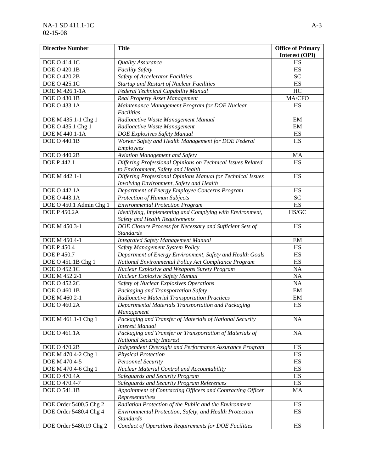| <b>Directive Number</b> | <b>Title</b>                                                                                            | <b>Office of Primary</b> |
|-------------------------|---------------------------------------------------------------------------------------------------------|--------------------------|
|                         |                                                                                                         | Interest (OPI)           |
| DOE O 414.1C            | Quality Assurance                                                                                       | HS                       |
| <b>DOE O 420.1B</b>     | <b>Facility Safety</b>                                                                                  | HS                       |
| <b>DOE O 420.2B</b>     | Safety of Accelerator Facilities                                                                        | <b>SC</b>                |
| <b>DOE O 425.1C</b>     | <b>Startup and Restart of Nuclear Facilities</b>                                                        | HS                       |
| DOE M 426.1-1A          | Federal Technical Capability Manual                                                                     | HC                       |
| <b>DOE O 430.1B</b>     | <b>Real Property Asset Management</b>                                                                   | MA/CFO                   |
| DOE O 433.1A            | Maintenance Management Program for DOE Nuclear<br>Facilities                                            | HS                       |
| DOE M 435.1-1 Chg 1     | Radioactive Waste Management Manual                                                                     | EM                       |
| DOE O 435.1 Chg 1       | Radioactive Waste Management                                                                            | EM                       |
| DOE M 440.1-1A          | <b>DOE Explosives Safety Manual</b>                                                                     | HS                       |
| <b>DOE O 440.1B</b>     | Worker Safety and Health Management for DOE Federal                                                     | HS                       |
|                         | Employees                                                                                               |                          |
| <b>DOE O 440.2B</b>     | Aviation Management and Safety                                                                          | MA                       |
| <b>DOE P 442.1</b>      | Differing Professional Opinions on Technical Issues Related                                             | HS                       |
|                         | to Environment, Safety and Health                                                                       |                          |
| DOE M 442.1-1           | Differing Professional Opinions Manual for Technical Issues<br>Involving Environment, Safety and Health | HS                       |
| DOE O 442.1A            | Department of Energy Employee Concerns Program                                                          | HS                       |
| <b>DOE O 443.1A</b>     | <b>Protection of Human Subjects</b>                                                                     | <b>SC</b>                |
| DOE O 450.1 Admin Chg 1 | <b>Environmental Protection Program</b>                                                                 | HS                       |
| <b>DOE P 450.2A</b>     | Identifying, Implementing and Complying with Environment,                                               | HS/GC                    |
|                         | Safety and Health Requirements                                                                          |                          |
| DOE M 450.3-1           | DOE Closure Process for Necessary and Sufficient Sets of<br><b>Standards</b>                            | HS                       |
| DOE M 450.4-1           | <b>Integrated Safety Management Manual</b>                                                              | EM                       |
| <b>DOE P 450.4</b>      | Safety Management System Policy                                                                         | HS                       |
| <b>DOE P 450.7</b>      | Department of Energy Environment, Safety and Health Goals                                               | HS                       |
| DOE O 451.1B Chg 1      | National Environmental Policy Act Compliance Program                                                    | HS                       |
| <b>DOE O 452.1C</b>     | Nuclear Explosive and Weapons Surety Program                                                            | <b>NA</b>                |
| DOE M 452.2-1           | Nuclear Explosive Safety Manual                                                                         | <b>NA</b>                |
| DOE O 452.2C            | Safety of Nuclear Explosives Operations                                                                 | <b>NA</b>                |
| DOE O 460.1B            | Packaging and Transportation Safety                                                                     | EM                       |
| DOE M 460.2-1           | Radioactive Material Transportation Practices                                                           | EM                       |
| DOE O 460.2A            | Departmental Materials Transportation and Packaging                                                     | HS                       |
|                         | Management                                                                                              |                          |
| DOE M 461.1-1 Chg 1     | Packaging and Transfer of Materials of National Security                                                | <b>NA</b>                |
| <b>DOE O 461.1A</b>     | <b>Interest Manual</b><br>Packaging and Transfer or Transportation of Materials of                      | <b>NA</b>                |
|                         | <b>National Security Interest</b>                                                                       |                          |
| <b>DOE O 470.2B</b>     | Independent Oversight and Performance Assurance Program                                                 | HS                       |
| DOE M 470.4-2 Chg 1     | <b>Physical Protection</b>                                                                              | HS                       |
| DOE M 470.4-5           | <b>Personnel Security</b>                                                                               | HS                       |
| DOE M 470.4-6 Chg 1     | Nuclear Material Control and Accountability                                                             | HS                       |
| <b>DOE O 470.4A</b>     | Safeguards and Security Program                                                                         | HS                       |
| DOE O 470.4-7           | Safeguards and Security Program References                                                              | HS                       |
| <b>DOE O 541.1B</b>     | Appointment of Contracting Officers and Contracting Officer                                             | MA                       |
|                         | Representatives                                                                                         |                          |
| DOE Order 5400.5 Chg 2  | Radiation Protection of the Public and the Environment                                                  | HS                       |
| DOE Order 5480.4 Chg 4  | Environmental Protection, Safety, and Health Protection                                                 | HS                       |
|                         | <b>Standards</b><br>Conduct of Operations Requirements for DOE Facilities                               | HS                       |
| DOE Order 5480.19 Chg 2 |                                                                                                         |                          |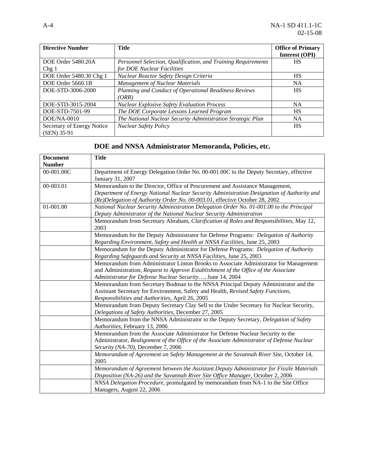| <b>Directive Number</b>    | <b>Title</b>                                                  | <b>Office of Primary</b> |
|----------------------------|---------------------------------------------------------------|--------------------------|
|                            |                                                               | Interest (OPI)           |
| DOE Order 5480.20A         | Personnel Selection, Qualification, and Training Requirements | HS                       |
| Chg <sub>1</sub>           | for DOE Nuclear Facilities                                    |                          |
| DOE Order 5480.30 Chg 1    | Nuclear Reactor Safety Design Criteria                        | <b>HS</b>                |
| DOE Order 5660.1B          | <b>Management of Nuclear Materials</b>                        | <b>NA</b>                |
| DOE-STD-3006-2000          | Planning and Conduct of Operational Readiness Reviews         | HS                       |
|                            | (ORR)                                                         |                          |
| DOE-STD-3015-2004          | <b>Nuclear Explosive Safety Evaluation Process</b>            | <b>NA</b>                |
| DOE-STD-7501-99            | The DOE Corporate Lessons Learned Program                     | HS                       |
| $DOE/NA-0010$              | The National Nuclear Security Administration Strategic Plan   | <b>NA</b>                |
| Secretary of Energy Notice | <b>Nuclear Safety Policy</b>                                  | HS                       |
| (SEN) 35-91                |                                                               |                          |

## **DOE and NNSA Administrator Memoranda, Policies, etc.**

| <b>Document</b> | <b>Title</b>                                                                                                                                                              |
|-----------------|---------------------------------------------------------------------------------------------------------------------------------------------------------------------------|
| <b>Number</b>   |                                                                                                                                                                           |
| 00-001.00C      | Department of Energy Delegation Order No. 00-001.00C to the Deputy Secretary, effective                                                                                   |
|                 | January 31, 2007                                                                                                                                                          |
| 00-003.01       | Memorandum to the Director, Office of Procurement and Assistance Management,                                                                                              |
|                 | Department of Energy National Nuclear Security Administration Designation of Authority and<br>(Re)Delegation of Authority Order No. 00-003.01, effective October 28, 2002 |
| 01-001.00       | National Nuclear Security Administration Delegation Order No. 01-001.00 to the Principal                                                                                  |
|                 | Deputy Administrator of the National Nuclear Security Administration                                                                                                      |
|                 | Memorandum from Secretary Abraham, Clarification of Roles and Responsibilities, May 12,                                                                                   |
|                 | 2003                                                                                                                                                                      |
|                 | Memorandum for the Deputy Administrator for Defense Programs: Delegation of Authority                                                                                     |
|                 | Regarding Environment, Safety and Health at NNSA Facilities, June 25, 2003                                                                                                |
|                 | Memorandum for the Deputy Administrator for Defense Programs: Delegation of Authority                                                                                     |
|                 | Regarding Safeguards and Security at NNSA Facilities, June 25, 2003                                                                                                       |
|                 | Memorandum from Administrator Linton Brooks to Associate Administrator for Management                                                                                     |
|                 | and Administration, Request to Approve Establishment of the Office of the Associate                                                                                       |
|                 | Administrator for Defense Nuclear Security, June 14, 2004                                                                                                                 |
|                 | Memorandum from Secretary Bodman to the NNSA Principal Deputy Administrator and the                                                                                       |
|                 | Assistant Secretary for Environment, Safety and Health, Revised Safety Functions,                                                                                         |
|                 | Responsibilities and Authorities, April 26, 2005                                                                                                                          |
|                 | Memorandum from Deputy Secretary Clay Sell to the Under Secretary for Nuclear Security,                                                                                   |
|                 | Delegations of Safety Authorities, December 27, 2005                                                                                                                      |
|                 | Memorandum from the NNSA Administrator to the Deputy Secretary, Delegation of Safety                                                                                      |
|                 | Authorities, February 13, 2006                                                                                                                                            |
|                 | Memorandum from the Associate Administrator for Defense Nuclear Security to the                                                                                           |
|                 | Administrator, Realignment of the Office of the Associate Administrator of Defense Nuclear                                                                                |
|                 | Security (NA-70), December 7, 2006                                                                                                                                        |
|                 | Memorandum of Agreement on Safety Management at the Savannah River Site, October 14,                                                                                      |
|                 | 2005                                                                                                                                                                      |
|                 | Memorandum of Agreement between the Assistant Deputy Administrator for Fissile Materials                                                                                  |
|                 | Disposition (NA-26) and the Savannah River Site Office Manager, October 2, 2006                                                                                           |
|                 | NNSA Delegation Procedure, promulgated by memorandum from NA-1 to the Site Office                                                                                         |
|                 | Managers, August 22, 2006                                                                                                                                                 |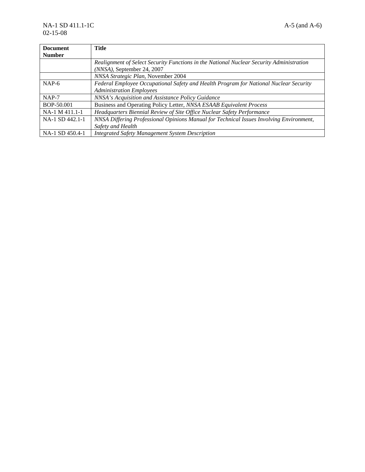| <b>Document</b> | <b>Title</b>                                                                                                           |
|-----------------|------------------------------------------------------------------------------------------------------------------------|
| <b>Number</b>   |                                                                                                                        |
|                 | Realignment of Select Security Functions in the National Nuclear Security Administration<br>(NNSA), September 24, 2007 |
|                 | NNSA Strategic Plan, November 2004                                                                                     |
| $NAP-6$         | Federal Employee Occupational Safety and Health Program for National Nuclear Security                                  |
|                 | <b>Administration Employees</b>                                                                                        |
| $NAP-7$         | NNSA's Acquisition and Assistance Policy Guidance                                                                      |
| BOP-50.001      | Business and Operating Policy Letter, NNSA ESAAB Equivalent Process                                                    |
| NA-1 M 411.1-1  | Headquarters Biennial Review of Site Office Nuclear Safety Performance                                                 |
| NA-1 SD 442.1-1 | NNSA Differing Professional Opinions Manual for Technical Issues Involving Environment,                                |
|                 | Safety and Health                                                                                                      |
| NA-1 SD 450.4-1 | <b>Integrated Safety Management System Description</b>                                                                 |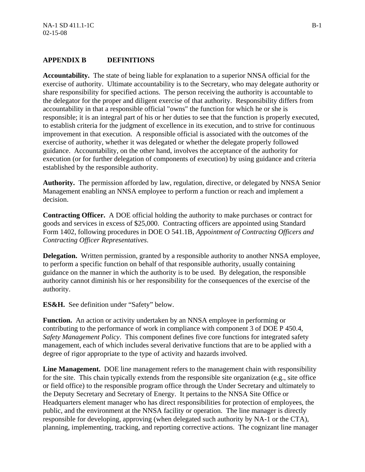#### **APPENDIX B DEFINITIONS**

**Accountability.** The state of being liable for explanation to a superior NNSA official for the exercise of authority. Ultimate accountability is to the Secretary, who may delegate authority or share responsibility for specified actions. The person receiving the authority is accountable to the delegator for the proper and diligent exercise of that authority. Responsibility differs from accountability in that a responsible official "owns" the function for which he or she is responsible; it is an integral part of his or her duties to see that the function is properly executed, to establish criteria for the judgment of excellence in its execution, and to strive for continuous improvement in that execution. A responsible official is associated with the outcomes of the exercise of authority, whether it was delegated or whether the delegate properly followed guidance. Accountability, on the other hand, involves the acceptance of the authority for execution (or for further delegation of components of execution) by using guidance and criteria established by the responsible authority.

**Authority.** The permission afforded by law, regulation, directive, or delegated by NNSA Senior Management enabling an NNSA employee to perform a function or reach and implement a decision.

**Contracting Officer.** A DOE official holding the authority to make purchases or contract for goods and services in excess of \$25,000. Contracting officers are appointed using Standard Form 1402, following procedures in DOE O 541.1B, *Appointment of Contracting Officers and Contracting Officer Representatives*.

**Delegation.** Written permission, granted by a responsible authority to another NNSA employee, to perform a specific function on behalf of that responsible authority, usually containing guidance on the manner in which the authority is to be used. By delegation, the responsible authority cannot diminish his or her responsibility for the consequences of the exercise of the authority.

**ES&H.** See definition under "Safety" below.

**Function.** An action or activity undertaken by an NNSA employee in performing or contributing to the performance of work in compliance with component 3 of DOE P 450.4, *Safety Management Policy*. This component defines five core functions for integrated safety management, each of which includes several derivative functions that are to be applied with a degree of rigor appropriate to the type of activity and hazards involved.

**Line Management.** DOE line management refers to the management chain with responsibility for the site. This chain typically extends from the responsible site organization (e.g., site office or field office) to the responsible program office through the Under Secretary and ultimately to the Deputy Secretary and Secretary of Energy. It pertains to the NNSA Site Office or Headquarters element manager who has direct responsibilities for protection of employees, the public, and the environment at the NNSA facility or operation. The line manager is directly responsible for developing, approving (when delegated such authority by NA-1 or the CTA), planning, implementing, tracking, and reporting corrective actions. The cognizant line manager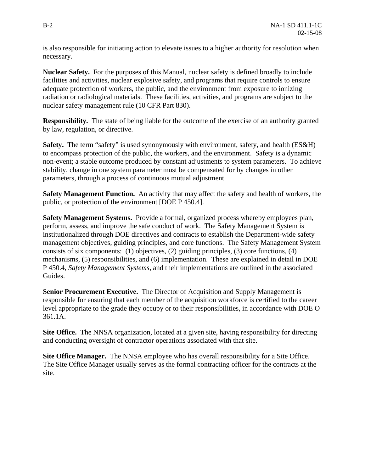is also responsible for initiating action to elevate issues to a higher authority for resolution when necessary.

**Nuclear Safety.** For the purposes of this Manual, nuclear safety is defined broadly to include facilities and activities, nuclear explosive safety, and programs that require controls to ensure adequate protection of workers, the public, and the environment from exposure to ionizing radiation or radiological materials. These facilities, activities, and programs are subject to the nuclear safety management rule (10 CFR Part 830).

**Responsibility.** The state of being liable for the outcome of the exercise of an authority granted by law, regulation, or directive.

**Safety.** The term "safety" is used synonymously with environment, safety, and health (ES&H) to encompass protection of the public, the workers, and the environment. Safety is a dynamic non-event; a stable outcome produced by constant adjustments to system parameters. To achieve stability, change in one system parameter must be compensated for by changes in other parameters, through a process of continuous mutual adjustment.

**Safety Management Function.** An activity that may affect the safety and health of workers, the public, or protection of the environment [DOE P 450.4].

**Safety Management Systems.** Provide a formal, organized process whereby employees plan, perform, assess, and improve the safe conduct of work. The Safety Management System is institutionalized through DOE directives and contracts to establish the Department-wide safety management objectives, guiding principles, and core functions. The Safety Management System consists of six components: (1) objectives, (2) guiding principles, (3) core functions, (4) mechanisms, (5) responsibilities, and (6) implementation. These are explained in detail in DOE P 450.4, *Safety Management Systems*, and their implementations are outlined in the associated Guides.

**Senior Procurement Executive.** The Director of Acquisition and Supply Management is responsible for ensuring that each member of the acquisition workforce is certified to the career level appropriate to the grade they occupy or to their responsibilities, in accordance with DOE O 361.1A.

**Site Office.** The NNSA organization, located at a given site, having responsibility for directing and conducting oversight of contractor operations associated with that site.

**Site Office Manager.** The NNSA employee who has overall responsibility for a Site Office. The Site Office Manager usually serves as the formal contracting officer for the contracts at the site.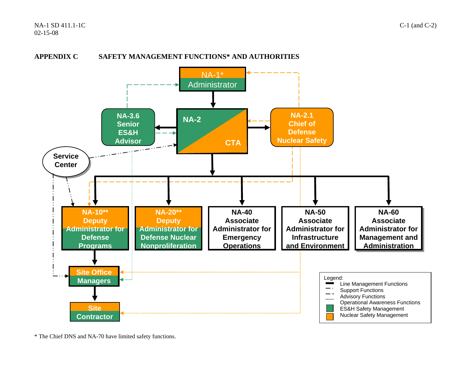



\* The Chief DNS and NA-70 have limited safety functions.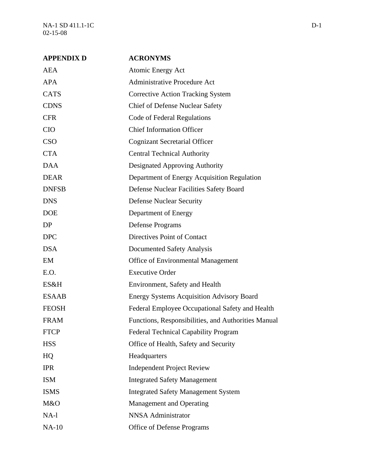NA-1 SD 411.1-1C D-1 02-15-08

| <b>APPENDIX D</b> | <b>ACRONYMS</b>                                     |
|-------------------|-----------------------------------------------------|
| <b>AEA</b>        | Atomic Energy Act                                   |
| <b>APA</b>        | <b>Administrative Procedure Act</b>                 |
| <b>CATS</b>       | <b>Corrective Action Tracking System</b>            |
| <b>CDNS</b>       | <b>Chief of Defense Nuclear Safety</b>              |
| <b>CFR</b>        | Code of Federal Regulations                         |
| <b>CIO</b>        | <b>Chief Information Officer</b>                    |
| <b>CSO</b>        | <b>Cognizant Secretarial Officer</b>                |
| <b>CTA</b>        | <b>Central Technical Authority</b>                  |
| <b>DAA</b>        | Designated Approving Authority                      |
| <b>DEAR</b>       | Department of Energy Acquisition Regulation         |
| <b>DNFSB</b>      | Defense Nuclear Facilities Safety Board             |
| <b>DNS</b>        | <b>Defense Nuclear Security</b>                     |
| <b>DOE</b>        | Department of Energy                                |
| DP                | <b>Defense Programs</b>                             |
| <b>DPC</b>        | Directives Point of Contact                         |
| <b>DSA</b>        | Documented Safety Analysis                          |
| EM                | Office of Environmental Management                  |
| E.O.              | <b>Executive Order</b>                              |
| ES&H              | Environment, Safety and Health                      |
| <b>ESAAB</b>      | <b>Energy Systems Acquisition Advisory Board</b>    |
| <b>FEOSH</b>      | Federal Employee Occupational Safety and Health     |
| <b>FRAM</b>       | Functions, Responsibilities, and Authorities Manual |
| <b>FTCP</b>       | Federal Technical Capability Program                |
| <b>HSS</b>        | Office of Health, Safety and Security               |
| HQ                | Headquarters                                        |
| <b>IPR</b>        | <b>Independent Project Review</b>                   |
| <b>ISM</b>        | <b>Integrated Safety Management</b>                 |
| <b>ISMS</b>       | <b>Integrated Safety Management System</b>          |
| M&O               | Management and Operating                            |
| NA-l              | <b>NNSA</b> Administrator                           |
| $NA-10$           | Office of Defense Programs                          |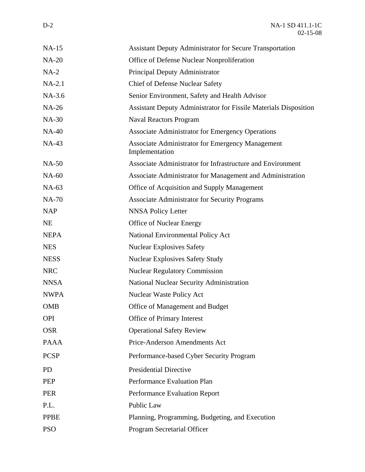| $NA-15$      | <b>Assistant Deputy Administrator for Secure Transportation</b>         |
|--------------|-------------------------------------------------------------------------|
| <b>NA-20</b> | Office of Defense Nuclear Nonproliferation                              |
| $NA-2$       | Principal Deputy Administrator                                          |
| $NA-2.1$     | <b>Chief of Defense Nuclear Safety</b>                                  |
| $NA-3.6$     | Senior Environment, Safety and Health Advisor                           |
| <b>NA-26</b> | <b>Assistant Deputy Administrator for Fissile Materials Disposition</b> |
| <b>NA-30</b> | <b>Naval Reactors Program</b>                                           |
| <b>NA-40</b> | <b>Associate Administrator for Emergency Operations</b>                 |
| <b>NA-43</b> | Associate Administrator for Emergency Management<br>Implementation      |
| <b>NA-50</b> | Associate Administrator for Infrastructure and Environment              |
| <b>NA-60</b> | Associate Administrator for Management and Administration               |
| NA-63        | Office of Acquisition and Supply Management                             |
| <b>NA-70</b> | <b>Associate Administrator for Security Programs</b>                    |
| <b>NAP</b>   | <b>NNSA Policy Letter</b>                                               |
| <b>NE</b>    | <b>Office of Nuclear Energy</b>                                         |
| <b>NEPA</b>  | National Environmental Policy Act                                       |
| <b>NES</b>   | <b>Nuclear Explosives Safety</b>                                        |
| <b>NESS</b>  | <b>Nuclear Explosives Safety Study</b>                                  |
| <b>NRC</b>   | <b>Nuclear Regulatory Commission</b>                                    |
| <b>NNSA</b>  | <b>National Nuclear Security Administration</b>                         |
| <b>NWPA</b>  | Nuclear Waste Policy Act                                                |
| <b>OMB</b>   | Office of Management and Budget                                         |
| <b>OPI</b>   | <b>Office of Primary Interest</b>                                       |
| <b>OSR</b>   | <b>Operational Safety Review</b>                                        |
| <b>PAAA</b>  | Price-Anderson Amendments Act                                           |
| <b>PCSP</b>  | Performance-based Cyber Security Program                                |
| <b>PD</b>    | <b>Presidential Directive</b>                                           |
| <b>PEP</b>   | Performance Evaluation Plan                                             |
| <b>PER</b>   | <b>Performance Evaluation Report</b>                                    |
| P.L.         | Public Law                                                              |
| <b>PPBE</b>  | Planning, Programming, Budgeting, and Execution                         |
| <b>PSO</b>   | Program Secretarial Officer                                             |